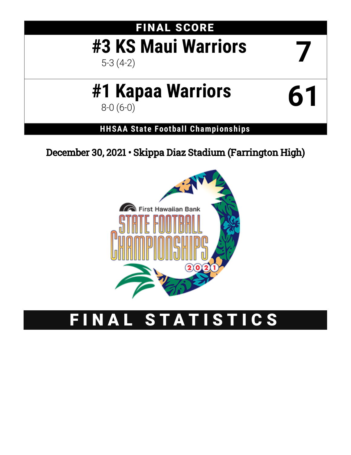# FINAL SCORE **#3 KS Maui Warriors** 5-3 (4-2) **7 #1 Kapaa Warriors** 8-0 (6-0) **61**

**HHSAA State Football Championships**

December 30, 2021 • Skippa Diaz Stadium (Farrington High)



# FINAL STATISTICS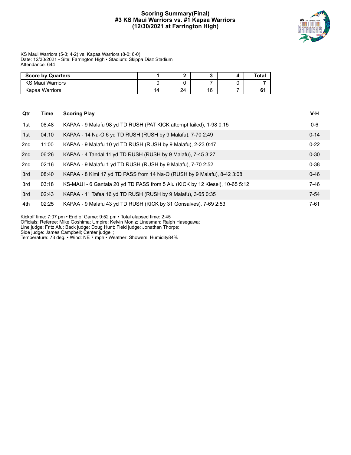#### **Scoring Summary(Final) #3 KS Maui Warriors vs. #1 Kapaa Warriors (12/30/2021 at Farrington High)**



KS Maui Warriors (5-3; 4-2) vs. Kapaa Warriors (8-0; 6-0) Date: 12/30/2021 • Site: Farrington High • Stadium: Skippa Diaz Stadium Attendance: 644

| <b>Score by Quarters</b> |    |    |    | Tota. |
|--------------------------|----|----|----|-------|
| <b>KS Maul Warriors</b>  |    |    |    |       |
| Kapaa Warriors           | 14 | 24 | 16 |       |

| Qtr | Time  | <b>Scoring Play</b>                                                          | V-H      |
|-----|-------|------------------------------------------------------------------------------|----------|
| 1st | 08:48 | KAPAA - 9 Malafu 98 yd TD RUSH (PAT KICK attempt failed), 1-98 0:15          | $0-6$    |
| 1st | 04:10 | KAPAA - 14 Na-O 6 yd TD RUSH (RUSH by 9 Malafu), 7-70 2:49                   | $0 - 14$ |
| 2nd | 11:00 | KAPAA - 9 Malafu 10 yd TD RUSH (RUSH by 9 Malafu), 2-23 0:47                 | $0 - 22$ |
| 2nd | 06:26 | KAPAA - 4 Tandal 11 yd TD RUSH (RUSH by 9 Malafu), 7-45 3:27                 | $0 - 30$ |
| 2nd | 02:16 | KAPAA - 9 Malafu 1 yd TD RUSH (RUSH by 9 Malafu), 7-70 2:52                  | $0 - 38$ |
| 3rd | 08:40 | KAPAA - 8 Kimi 17 yd TD PASS from 14 Na-O (RUSH by 9 Malafu), 8-42 3:08      | $0 - 46$ |
| 3rd | 03:18 | KS-MAUI - 6 Gantala 20 yd TD PASS from 5 Aiu (KICK by 12 Kiesel), 10-65 5:12 | 7-46     |
| 3rd | 02:43 | KAPAA - 11 Tafea 16 yd TD RUSH (RUSH by 9 Malafu), 3-65 0:35                 | $7 - 54$ |
| 4th | 02:25 | KAPAA - 9 Malafu 43 yd TD RUSH (KICK by 31 Gonsalves), 7-69 2:53             | $7 - 61$ |

Kickoff time: 7:07 pm • End of Game: 9:52 pm • Total elapsed time: 2:45

Officials: Referee: Mike Goshima; Umpire: Kelvin Moniz; Linesman: Ralph Hasegawa;

Line judge: Fritz Afu; Back judge: Doug Hunt; Field judge: Jonathan Thorpe;

Side judge: James Campbell; Center judge: ;

Temperature: 73 deg. • Wind: NE 7 mph • Weather: Showers, Humidity84%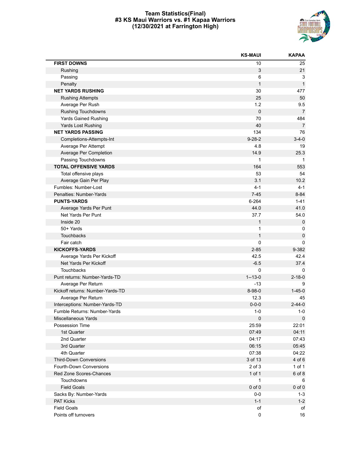#### **Team Statistics(Final) #3 KS Maui Warriors vs. #1 Kapaa Warriors (12/30/2021 at Farrington High)**



|                                  | <b>KS-MAUI</b> | <b>KAPAA</b>   |
|----------------------------------|----------------|----------------|
| <b>FIRST DOWNS</b>               | 10             | 25             |
| Rushing                          | 3              | 21             |
| Passing                          | 6              | 3              |
| Penalty                          | $\mathbf{1}$   | $\mathbf{1}$   |
| <b>NET YARDS RUSHING</b>         | 30             | 477            |
| <b>Rushing Attempts</b>          | 25             | 50             |
| Average Per Rush                 | 1.2            | 9.5            |
| Rushing Touchdowns               | $\mathbf 0$    | $\overline{7}$ |
| <b>Yards Gained Rushing</b>      | 70             | 484            |
| Yards Lost Rushing               | 40             | $\overline{7}$ |
| <b>NET YARDS PASSING</b>         | 134            | 76             |
| Completions-Attempts-Int         | $9 - 28 - 2$   | $3 - 4 - 0$    |
| Average Per Attempt              | 4.8            | 19             |
| Average Per Completion           | 14.9           | 25.3           |
| Passing Touchdowns               | $\mathbf{1}$   | -1             |
| <b>TOTAL OFFENSIVE YARDS</b>     | 164            | 553            |
| Total offensive plays            | 53             | 54             |
| Average Gain Per Play            | 3.1            | 10.2           |
| Fumbles: Number-Lost             | $4 - 1$        | $4 - 1$        |
| Penalties: Number-Yards          | $7 - 45$       | $8 - 84$       |
| <b>PUNTS-YARDS</b>               | 6-264          | $1 - 41$       |
| Average Yards Per Punt           | 44.0           | 41.0           |
| Net Yards Per Punt               | 37.7           | 54.0           |
| Inside 20                        | $\mathbf{1}$   | $\mathbf 0$    |
| 50+ Yards                        | 1              | 0              |
| Touchbacks                       | $\mathbf{1}$   | $\pmb{0}$      |
| Fair catch                       | 0              | 0              |
| <b>KICKOFFS-YARDS</b>            | $2 - 85$       | 9-382          |
| Average Yards Per Kickoff        | 42.5           | 42.4           |
| Net Yards Per Kickoff            | $-6.5$         | 37.4           |
| Touchbacks                       | 0              | 0              |
| Punt returns: Number-Yards-TD    | $1 - 13 - 0$   | $2 - 18 - 0$   |
| Average Per Return               | $-13$          | 9              |
| Kickoff returns: Number-Yards-TD | 8-98-0         | $1 - 45 - 0$   |
| Average Per Return               | 12.3           | 45             |
| Interceptions: Number-Yards-TD   | $0 - 0 - 0$    | $2 - 44 - 0$   |
| Fumble Returns: Number-Yards     | $1 - 0$        | $1-0$          |
| Miscellaneous Yards              | $\pmb{0}$      | $\mathbf 0$    |
| Possession Time                  | 25:59          | 22:01          |
| 1st Quarter                      | 07:49          | 04:11          |
| 2nd Quarter                      | 04:17          | 07:43          |
| 3rd Quarter                      | 06:15          | 05:45          |
| 4th Quarter                      | 07:38          | 04:22          |
| <b>Third-Down Conversions</b>    | 3 of 13        | 4 of 6         |
| Fourth-Down Conversions          | 2 of 3         | 1 of 1         |
| Red Zone Scores-Chances          | 1 of 1         | 6 of 8         |
| Touchdowns                       | 1              | 6              |
| <b>Field Goals</b>               | $0$ of $0$     | $0$ of $0$     |
| Sacks By: Number-Yards           | $0-0$          | $1 - 3$        |
| PAT Kicks                        | $1 - 1$        | $1 - 2$        |
| <b>Field Goals</b>               | of             | of             |
| Points off turnovers             | 0              | 16             |
|                                  |                |                |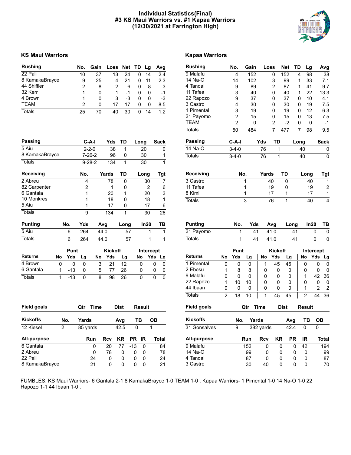#### **Individual Statistics(Final) #3 KS Maui Warriors vs. #1 Kapaa Warriors (12/30/2021 at Farrington High)**



#### **KS Maui Warriors Kapaa Warriors**

| <b>Rushing</b> | No. | Gain | Loss Net TD Lg |       |   |    | Avg  |
|----------------|-----|------|----------------|-------|---|----|------|
| 22 Pali        | 10  | 37   | 13             | 24    | 0 | 14 | 2.4  |
| 8 KamakaBrayce | 9   | 25   | 4              | 21    |   | 11 | 2.3  |
| 44 Shiffler    | 2   | 8    |                | 6     | 0 | 8  | -3   |
| 32 Kerr        | 1   | 0    |                | -1    | O | O  | $-1$ |
| 4 Brown        | 1   | 0    | 3              | -3    | 0 | 0  | -3   |
| <b>TEAM</b>    | 2   | ŋ    | 17             | $-17$ | O | 0  | -8.5 |
| Totals         | 25  | 70   | 40             | 30    |   | 14 | 12   |

**Passing C-A-I Yds TD Long Sack** 5 Aiu 2-2-0 38 1 20 0 8 KamakaBrayce 7-26-2 96 0 30 1

| <b>Rushing</b> | No.         | Gain |       | Loss | Net | TD   | Lg   | Avg         |
|----------------|-------------|------|-------|------|-----|------|------|-------------|
| 9 Malafu       | 4           | 152  |       | 0    | 152 | 4    | 98   | 38          |
| 14 Na-O        | 14          | 102  |       | 3    | 99  | 1    | 33   | 7.1         |
| 4 Tandal       | 9           | 89   |       | 2    | 87  | 1    | 41   | 9.7         |
| 11 Tafea       | 3           | 40   |       | 0    | 40  | 1    | 22   | 13.3        |
| 22 Rapozo      | 9           | 37   |       | 0    | 37  | 0    | 10   | 4.1         |
| 3 Castro       | 4           | 30   |       | 0    | 30  | 0    | 19   | 7.5         |
| 1 Pimental     | 3           | 19   |       | 0    | 19  | 0    | 12   | 6.3         |
| 21 Payomo      | 2           | 15   |       | 0    | 15  | 0    | 13   | 7.5         |
| <b>TEAM</b>    | 2           | 0    |       | 2    | -2  | 0    | 0    | -1          |
| Totals         | 50          | 484  |       | 7    | 477 | 7    | 98   | 9.5         |
| Passing        | C-A-I       |      | Yds   | TD   |     | Long |      | <b>Sack</b> |
| 14 Na-O        | $3-4-0$     |      | 76    |      | 1   | 40   |      | 0           |
| <b>Totals</b>  | $3 - 4 - 0$ |      | 76    |      | 1   | 40   |      | 0           |
| Receiving      | No.         |      | Yards |      | TD  |      | Long | <b>Tgt</b>  |
| 3 Castro       |             | 1    |       | 40   | 0   |      | 40   | 1           |
| 11 Tafea       |             | 1    |       | 19   | 0   |      | 19   | 2           |
| 8 Kimi         |             | 1    |       | 17   | 1   |      | 17   | 1           |

| <b>Totals</b>    |    |          | $9 - 28 - 2$ |       | 134            |      | 30   |              |     |                |    |      |          |       |                |      |      |           |     |
|------------------|----|----------|--------------|-------|----------------|------|------|--------------|-----|----------------|----|------|----------|-------|----------------|------|------|-----------|-----|
| <b>Receiving</b> |    |          | No.          | Yards |                | TD   | Long |              | Tgt | Receiving      |    | No.  |          | Yards |                | TD   | Long |           | Tgt |
| 2 Abreu          |    |          | 4            |       | 78             | 0    |      | 30           | 7   | 3 Castro       |    |      |          |       | 40             | 0    | 40   |           |     |
| 82 Carpenter     |    |          | 2            |       |                | 0    |      | 2            | 6   | 11 Tafea       |    |      |          |       | 19             | 0    | 19   |           | 2   |
| 6 Gantala        |    |          |              |       | 20             |      |      | 20           | 3   | 8 Kimi         |    |      |          |       | 17             |      | 17   |           |     |
| 10 Monkres       |    |          |              |       | 18             | 0    |      | 18           | 1   | <b>Totals</b>  |    |      | 3        |       | 76             |      | 40   |           | 4   |
| 5 Aiu            |    |          |              |       | 17             | 0    |      | 17           | 6   |                |    |      |          |       |                |      |      |           |     |
| <b>Totals</b>    |    |          | 9            |       | 134            |      |      | 30           | 26  |                |    |      |          |       |                |      |      |           |     |
| <b>Punting</b>   |    | No.      | Yds          | Avg   |                | Long | In20 |              | ТB  | <b>Punting</b> |    | No.  | Yds      |       | Avg            | Long |      | In20      | TВ  |
| 5 Aiu            |    | 6        | 264          | 44.0  |                | 57   |      |              |     | 21 Payomo      |    |      | 41       |       | 41.0           | 41   |      | 0         | 0   |
| <b>Totals</b>    |    | 6        | 264          | 44.0  |                | 57   |      |              |     | <b>Totals</b>  |    |      | 41       |       | 41.0           | 41   |      | 0         | 0   |
|                  |    | Punt     |              |       | <b>Kickoff</b> |      |      | Intercept    |     |                |    | Punt |          |       | <b>Kickoff</b> |      |      | Intercept |     |
| <b>Returns</b>   | No | Yds      | Lg           | No    | Yds            | Lg   | No   | Yds Lg       |     | <b>Returns</b> | No | Yds  | Lg       | No    | Yds            | Lg   | No   | Yds Lg    |     |
| 4 Brown          | 0  | $\Omega$ | $\Omega$     | 3     | 21             | 12   | 0    | $\mathbf{0}$ | 0   | 1 Pimental     | 0  | 0    | $\Omega$ |       | 45             | 45   | 0    | 0         | 0   |
| 6 Gantala        |    | $-13$    | 0            | 5     | 77             | 26   | 0    | 0            | 0   | 2 Ebesu        | 4  | 8    | 8        | 0     | 0              | 0    | 0    | 0         | 0   |

| <b>Field goals</b> |     | Time<br>Qtr |            | <b>Dist</b> |           | Result   |       | <b>Field goals</b> | Qtr | Time       | <b>Dist</b> |           | <b>Result</b> |
|--------------------|-----|-------------|------------|-------------|-----------|----------|-------|--------------------|-----|------------|-------------|-----------|---------------|
| <b>Kickoffs</b>    | No. | Yards       |            | Avg         |           | ТВ       | OВ    | <b>Kickoffs</b>    | No. | Yards      |             | Avg       | тв            |
| 12 Kiesel          | 2   | 85 yards    |            | 42.5        | 0         |          |       | 31 Gonsalves       | 9   | 382 yards  |             | 42.4      | 0             |
| All-purpose        |     | <b>Run</b>  | <b>Rcv</b> | KR.         | <b>PR</b> | IR       | Total | All-purpose        | Run | <b>Rcv</b> | KR          | <b>PR</b> | ΙR            |
| 6 Gantala          |     |             | 20         | 77          | $-13$     | $\Omega$ | 84    | 9 Malafu           |     | 152        | 0           | 0         | 42            |
| 2 Abreu            |     |             | 78         | 0           | $\Omega$  | 0        | 78    | 14 Na-O            |     | 99<br>0    | 0           | 0         | $\Omega$      |
| 22 Pali            |     | 24          | 0          | 0           | 0         | 0        | 24    | 4 Tandal           |     | 87<br>0    | 0           | 0         | 0             |
| 8 KamakaBrayce     |     | 21          | 0          | 0           | 0         | $\Omega$ | 21    | 3 Castro           |     | 30<br>40   | 0           | 0         | 0             |

Totals 1 -13 0 | 8 98 26 | 0 0 0

| Returns            | No | Yds | Lg  | No          | Yds         | Lg   | No             | Yds | Lg    |
|--------------------|----|-----|-----|-------------|-------------|------|----------------|-----|-------|
| 1 Pimental         | 0  | 0   | 0   | 1           | 45          | 45   | 0              | 0   | 0     |
| 2 Ebesu            | 1  | 8   | 8   | 0           | 0           | 0    | 0              | 0   | 0     |
| 9 Malafu           | 0  | 0   | 0   | 0           | 0           | 0    | 1              | 42  | 36    |
| 22 Rapozo          | 1  | 10  | 10  | 0           | 0           | 0    | 0              | 0   | 0     |
| 44 Ibaan           | 0  | 0   | 0   | 0           | 0           | 0    | 1              | 2   | 2     |
| Totals             | 2  | 18  | 10  | 1           | 45          | 45   | $\overline{2}$ | 44  | 36    |
|                    |    |     |     |             |             |      |                |     |       |
| <b>Field goals</b> |    |     | Qtr | <b>Time</b> | <b>Dist</b> |      | Result         |     |       |
| Kickoffs           |    | No. |     | Yards       |             | Avg  | ΤВ             | OВ  |       |
| 31 Gonsalves       |    | 9   |     | 382 yards   |             | 42.4 | 0              | 0   |       |
| All-purpose        |    |     | Run | Rcv         | KR          | PR   | ΙR             |     | Total |
| 9 Malafu           |    |     | 152 | 0           | O           | 0    | 42             |     | 194   |

4 Tandal  $\begin{array}{ccccccccc}\n4 & 7 & 87 & 0 & 0 & 0 & 0 & 87 \\
3 & 7 & 0 & 0 & 0 & 0 & 70\n\end{array}$ 

FUMBLES: KS Maui Warriors- 6 Gantala 2-1 8 KamakaBrayce 1-0 TEAM 1-0 . Kapaa Warriors- 1 Pimental 1-0 14 Na-O 1-0 22 Rapozo 1-1 44 Ibaan 1-0 .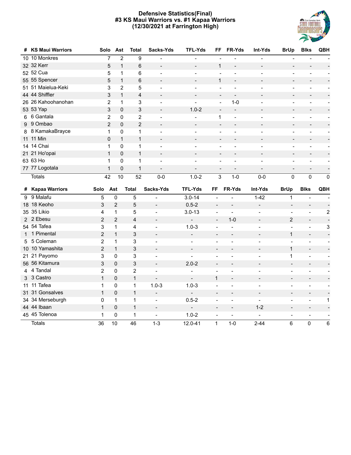#### **Defensive Statistics(Final) #3 KS Maui Warriors vs. #1 Kapaa Warriors (12/30/2021 at Farrington High)**



| #  | <b>KS Maui Warriors</b> | Solo           | Ast                                    | <b>Total</b>   | Sacks-Yds                | <b>TFL-Yds</b>               | FF                       | FR-Yds                       | Int-Yds                  | <b>BrUp</b>              | <b>Blks</b>                  | <b>QBH</b>               |
|----|-------------------------|----------------|----------------------------------------|----------------|--------------------------|------------------------------|--------------------------|------------------------------|--------------------------|--------------------------|------------------------------|--------------------------|
|    | 10 10 Monkres           |                | $\overline{7}$<br>$\overline{2}$       | 9              |                          | $\overline{a}$               |                          |                              |                          |                          |                              |                          |
|    | 32 32 Kerr              |                | 5<br>$\mathbf{1}$                      | 6              | $\overline{\phantom{a}}$ | $\frac{1}{2}$                | $\mathbf{1}$             | $\overline{a}$               | $\overline{\phantom{a}}$ |                          |                              |                          |
|    | 52 52 Cua               |                | 5<br>$\mathbf{1}$                      | 6              | $\overline{a}$           | $\overline{a}$               | $\overline{a}$           | $\overline{a}$               | $\overline{\phantom{a}}$ | $\overline{a}$           | $\overline{a}$               |                          |
|    | 55 55 Spencer           |                | 5<br>$\mathbf{1}$                      | 6              | $\blacksquare$           | $\qquad \qquad -$            | 1                        | $\blacksquare$               | $\overline{\phantom{a}}$ |                          | $\blacksquare$               |                          |
|    | 51 51 Maielua-Keki      |                | 3<br>2                                 | 5              |                          | $\overline{a}$               | $\overline{\phantom{a}}$ |                              |                          |                          |                              |                          |
|    | 44 44 Shiffler          |                | $\mathsf 3$<br>$\mathbf{1}$            | 4              |                          | $\overline{\phantom{a}}$     | $\overline{\phantom{a}}$ |                              |                          |                          |                              |                          |
|    | 26 26 Kahoohanohan      |                | $\overline{2}$<br>1                    | 3              |                          | $\frac{1}{2}$                | $\overline{\phantom{a}}$ | $1-0$                        | $\overline{a}$           |                          |                              |                          |
|    | 53 53 Yap               |                | $\ensuremath{\mathsf{3}}$<br>$\pmb{0}$ | $\mathsf 3$    |                          | $1.0 - 2$                    | $\overline{\phantom{a}}$ | $\overline{\phantom{a}}$     |                          |                          |                              |                          |
|    | 6 6 Gantala             |                | $\overline{2}$<br>0                    | $\overline{2}$ | $\overline{a}$           | $\overline{a}$               | 1                        | $\blacksquare$               | $\overline{a}$           | $\overline{\phantom{0}}$ |                              | $\overline{\phantom{0}}$ |
|    | 9 9 Ombao               |                | $\overline{2}$<br>$\pmb{0}$            | $\overline{2}$ | $\blacksquare$           | $\qquad \qquad \blacksquare$ | $\overline{\phantom{a}}$ | $\blacksquare$               | $\overline{\phantom{a}}$ | $\overline{\phantom{0}}$ | $\blacksquare$               |                          |
|    | 8 8 KamakaBrayce        |                | 0<br>1                                 | 1              | $\overline{a}$           | $\overline{\phantom{a}}$     | $\overline{\phantom{a}}$ | $\overline{a}$               | $\blacksquare$           | $\overline{\phantom{0}}$ | $\overline{a}$               | $\blacksquare$           |
|    | 11 11 Min               |                | $\pmb{0}$<br>$\mathbf{1}$              | $\mathbf{1}$   | $\overline{\phantom{a}}$ | $\overline{\phantom{a}}$     | $\overline{\phantom{a}}$ | $\overline{\phantom{0}}$     | $\overline{\phantom{a}}$ | $\overline{\phantom{0}}$ | $\overline{\phantom{a}}$     | $\blacksquare$           |
|    | 14 14 Chai              |                | 0<br>1                                 | $\mathbf 1$    | $\overline{a}$           | $\blacksquare$               | $\overline{\phantom{a}}$ |                              | $\overline{\phantom{a}}$ | $\overline{\phantom{0}}$ | $\overline{a}$               | $\blacksquare$           |
|    | 21 21 Ho'opai           |                | $\pmb{0}$<br>$\mathbf{1}$              | $\mathbf{1}$   | $\blacksquare$           | $\overline{\phantom{a}}$     | $\overline{\phantom{a}}$ | $\qquad \qquad \blacksquare$ | $\overline{\phantom{a}}$ | $\overline{\phantom{0}}$ | $\blacksquare$               | $\overline{\phantom{a}}$ |
|    | 63 63 Ho                |                | 0<br>1                                 | 1              | $\overline{a}$           | $\overline{\phantom{a}}$     | $\overline{\phantom{a}}$ | $\overline{a}$               | ÷                        | $\overline{a}$           | $\overline{a}$               | $\overline{\phantom{a}}$ |
|    | 77 77 Logotala          |                | $\mathbf{1}$<br>0                      | $\mathbf{1}$   |                          |                              | $\overline{\phantom{a}}$ |                              | $\overline{\phantom{a}}$ |                          | $\overline{\phantom{0}}$     | $\overline{\phantom{a}}$ |
|    | <b>Totals</b>           | 42             | 10                                     | 52             | $0-0$                    | $1.0 - 2$                    | 3                        | $1 - 0$                      | $0 - 0$                  | $\pmb{0}$                | $\mathbf 0$                  | 0                        |
|    | # Kapaa Warriors        | Solo           | Ast                                    | <b>Total</b>   | Sacks-Yds                | <b>TFL-Yds</b>               | FF                       | FR-Yds                       | Int-Yds                  | <b>BrUp</b>              | <b>Blks</b>                  | QBH                      |
| 9  | 9 Malafu                | 5              | $\pmb{0}$                              | 5              | $\overline{\phantom{a}}$ | $3.0 - 14$                   | $\blacksquare$           | $\overline{a}$               | $1 - 42$                 | $\mathbf 1$              | $\blacksquare$               |                          |
| 18 | 18 Keoho                | 3              | $\overline{2}$                         | 5              | $\overline{a}$           | $0.5 - 2$                    | $\overline{\phantom{m}}$ | $\overline{a}$               | $\overline{a}$           | $\overline{\phantom{a}}$ | $\overline{\phantom{a}}$     |                          |
|    | 35 35 Likio             | 4              | $\mathbf{1}$                           | 5              | $\overline{\phantom{a}}$ | $3.0 - 13$                   | $\blacksquare$           | $\blacksquare$               | ÷,                       | $\overline{\phantom{a}}$ | $\overline{\phantom{a}}$     | $\overline{c}$           |
|    | 2 2 Ebesu               | $\overline{2}$ | $\overline{2}$                         | 4              | $\overline{a}$           | $\overline{\phantom{a}}$     | $\blacksquare$           | $1 - 0$                      | $\overline{\phantom{a}}$ | $\overline{2}$           | $\overline{a}$               |                          |
|    | 54 54 Tafea             | 3              | $\mathbf{1}$                           | 4              | $\overline{\phantom{a}}$ | $1.0 - 3$                    | $\overline{\phantom{a}}$ |                              | $\overline{\phantom{a}}$ | $\overline{a}$           | $\overline{\phantom{a}}$     | 3                        |
|    | 1 1 Pimental            | $\overline{2}$ | $\mathbf{1}$                           | 3              | $\overline{\phantom{a}}$ | $\overline{\phantom{0}}$     | $\overline{\phantom{a}}$ | $\overline{a}$               | $\overline{\phantom{a}}$ | $\mathbf{1}$             | $\blacksquare$               | $\overline{\phantom{a}}$ |
|    | 5 5 Coleman             | $\overline{2}$ | $\mathbf{1}$                           | 3              | $\blacksquare$           | $\blacksquare$               | $\overline{a}$           | $\overline{a}$               | $\overline{\phantom{a}}$ | $\overline{a}$           | $\overline{a}$               | $\blacksquare$           |
|    | 10 10 Yamashita         | $\overline{2}$ | $\mathbf{1}$                           | 3              | $\blacksquare$           | $\blacksquare$               | $\blacksquare$           | $\overline{a}$               | $\overline{\phantom{a}}$ | $\mathbf{1}$             | $\overline{\phantom{a}}$     | $\overline{a}$           |
| 21 | 21 Payomo               | 3              | 0                                      | 3              | $\blacksquare$           | $\overline{a}$               | $\overline{\phantom{a}}$ |                              | $\overline{a}$           | $\mathbf 1$              | $\overline{\phantom{a}}$     | $\overline{\phantom{a}}$ |
|    | 56 56 Kitamura          | 3              | $\overline{0}$                         | 3              | $\blacksquare$           | $2.0 - 2$                    | $\overline{a}$           | $\overline{a}$               | $\blacksquare$           | $\overline{a}$           | $\blacksquare$               | $\blacksquare$           |
|    | 4 4 Tandal              | $\overline{2}$ | 0                                      | $\overline{2}$ | $\overline{\phantom{a}}$ | $\overline{a}$               | $\blacksquare$           | $\overline{a}$               | $\overline{a}$           | $\overline{a}$           | $\overline{\phantom{a}}$     | $\overline{\phantom{a}}$ |
|    | 3 3 Castro              | $\mathbf{1}$   | 0                                      | $\mathbf{1}$   | $\overline{\phantom{a}}$ | $\overline{\phantom{a}}$     | $\mathbf{1}$             | $\overline{a}$               | $\overline{\phantom{a}}$ | $\overline{\phantom{a}}$ | $\overline{\phantom{a}}$     | $\blacksquare$           |
| 11 | 11 Tafea                | 1              | 0                                      | 1              | $1.0 - 3$                | $1.0 - 3$                    | $\overline{a}$           |                              | $\overline{a}$           | $\overline{a}$           | ÷                            |                          |
| 31 | 31 Gonsalves            | $\mathbf{1}$   | 0                                      | $\mathbf{1}$   | $\overline{\phantom{a}}$ | $\overline{\phantom{a}}$     | $\blacksquare$           | $\overline{a}$               | $\overline{\phantom{a}}$ | $\overline{\phantom{a}}$ | $\overline{\phantom{a}}$     |                          |
|    | 34 34 Merseburgh        | 0              | 1                                      | $\mathbf{1}$   | $\overline{\phantom{a}}$ | $0.5 - 2$                    | $\overline{a}$           | $\overline{a}$               |                          | ÷,                       | $\qquad \qquad \blacksquare$ | 1                        |
|    | 44 44 Ibaan             | $\mathbf{1}$   | 0                                      | $\mathbf{1}$   | $\overline{\phantom{a}}$ | $\blacksquare$               | $\frac{1}{2}$            | $\overline{a}$               | $1 - 2$                  | $\overline{\phantom{a}}$ | $\overline{\phantom{a}}$     |                          |
|    | 45 45 Tolenoa           | 1              | 0                                      | 1              | $\blacksquare$           | $1.0 - 2$                    | $\overline{a}$           | $\blacksquare$               | $\overline{a}$           | $\blacksquare$           | $\overline{\phantom{a}}$     | $\blacksquare$           |
|    | <b>Totals</b>           | 36             | 10                                     | 46             | $1 - 3$                  | 12.0-41                      | $\mathbf{1}$             | $1 - 0$                      | $2 - 44$                 | 6                        | 0                            | 6                        |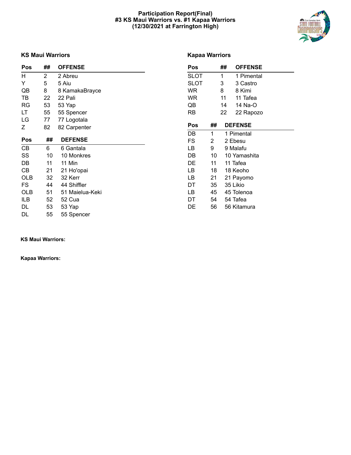#### **Participation Report(Final) #3 KS Maui Warriors vs. #1 Kapaa Warriors (12/30/2021 at Farrington High)**



#### **KS Maui Warriors**

#### **Kapaa Warriors**

| <b>Pos</b> | ##             | <b>OFFENSE</b>  | Pos         |    | ## | <b>OFFENSE</b> |
|------------|----------------|-----------------|-------------|----|----|----------------|
| H          | $\overline{2}$ | 2 Abreu         | <b>SLOT</b> |    | 1  | 1 Pimental     |
| Y          | 5              | 5 Aiu           | <b>SLOT</b> |    | 3  | 3 Castro       |
| QB         | 8              | 8 KamakaBrayce  | <b>WR</b>   |    | 8  | 8 Kimi         |
| TB         | 22             | 22 Pali         | WR          |    | 11 | 11 Tafea       |
| RG         | 53             | 53 Yap          | QB          |    | 14 | 14 Na-O        |
| LT         | 55             | 55 Spencer      | RB          |    | 22 | 22 Rapozo      |
| LG         | 77             | 77 Logotala     |             |    |    |                |
| Ζ          | 82             | 82 Carpenter    | Pos         | ## |    | <b>DEFENSE</b> |
|            |                |                 | DB          | 1  |    | 1 Pimental     |
| Pos        | ##             | <b>DEFENSE</b>  | FS          | 2  |    | 2 Ebesu        |
| CB         | 6              | 6 Gantala       | LB          | 9  |    | 9 Malafu       |
| SS         | 10             | 10 Monkres      | DB          | 10 |    | 10 Yamashita   |
| DB         | 11             | 11 Min          | DE          | 11 |    | 11 Tafea       |
| CB         | 21             | 21 Ho'opai      | LB          | 18 |    | 18 Keoho       |
| OLB        | 32             | 32 Kerr         | LB          | 21 |    | 21 Payomo      |
| FS         | 44             | 44 Shiffler     | DT          | 35 |    | 35 Likio       |
| <b>OLB</b> | 51             | 51 Maielua-Keki | LB          | 45 |    | 45 Tolenoa     |
| ILB        | 52             | 52 Cua          | DT          | 54 |    | 54 Tafea       |
| DL         | 53             | 53 Yap          | DE          | 56 |    | 56 Kitamura    |
| DL         | 55             | 55 Spencer      |             |    |    |                |

**KS Maui Warriors:**

**Kapaa Warriors:**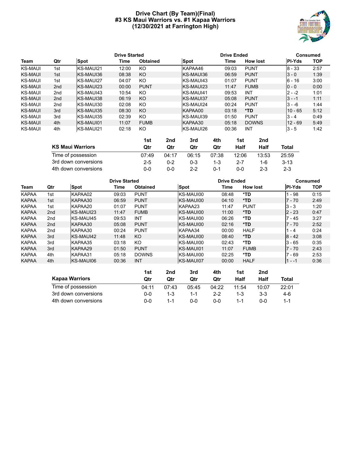#### **Drive Chart (By Team)(Final) #3 KS Maui Warriors vs. #1 Kapaa Warriors (12/30/2021 at Farrington High)**



|                |                 |                  | <b>Drive Started</b> |                 |                  | <b>Drive Ended</b> |                 | <b>Consumed</b> |            |  |
|----------------|-----------------|------------------|----------------------|-----------------|------------------|--------------------|-----------------|-----------------|------------|--|
| Team           | Qtr             | <b>Spot</b>      | Time                 | <b>Obtained</b> | <b>Spot</b>      | Time               | <b>How lost</b> | <b>PI-Yds</b>   | <b>TOP</b> |  |
| <b>KS-MAUI</b> | 1st             | KS-MAUI21        | 12:00                | KO              | KAPAA46          | 09:03              | <b>PUNT</b>     | $8 - 33$        | 2:57       |  |
| <b>KS-MAUI</b> | 1st             | KS-MAUI36        | 08:38                | KO              | KS-MAUI36        | 06:59              | <b>PUNT</b>     | $3 - 0$         | 1:39       |  |
| <b>KS-MAUI</b> | 1st             | <b>KS-MAUI27</b> | 04:07                | KO.             | KS-MAUI43        | 01:07              | <b>PUNT</b>     | $6 - 16$        | 3:00       |  |
| <b>KS-MAUI</b> | 2 <sub>nd</sub> | KS-MAUI23        | 00:00                | <b>PUNT</b>     | <b>KS-MAUI23</b> | 11:47              | <b>FUMB</b>     | $0 - 0$         | 0:00       |  |
| <b>KS-MAUI</b> | 2nd             | KS-MAUI43        | 10:54                | KO              | KS-MAUI41        | 09:53              | INT             | $2 - -2$        | 1:01       |  |
| <b>KS-MAUI</b> | 2 <sub>nd</sub> | KS-MAUI38        | 06:19                | KO              | <b>KS-MAUI37</b> | 05:08              | <b>PUNT</b>     | $3 - -1$        | 1:11       |  |
| <b>KS-MAUI</b> | 2 <sub>nd</sub> | KS-MAUI30        | 02:08                | KO              | KS-MAUI24        | 00:24              | <b>PUNT</b>     | $3 - -6$        | 1:44       |  |
| <b>KS-MAUI</b> | 3rd             | KS-MAUI35        | 08:30                | KO              | KAPAA00          | 03:18              | *TD             | $10 - 65$       | 5:12       |  |
| <b>KS-MAUI</b> | 3rd             | KS-MAUI35        | 02:39                | KO              | KS-MAUI39        | 01:50              | <b>PUNT</b>     | $3 - 4$         | 0:49       |  |
| <b>KS-MAUI</b> | 4th             | KS-MAUI01        | 11:07                | <b>FUMB</b>     | KAPAA30          | 05:18              | <b>DOWNS</b>    | $12 - 69$       | 5:49       |  |
| <b>KS-MAUI</b> | 4th             | KS-MAUI21        | 02:18                | KO              | KS-MAUI26        | 00:36              | INT             | $3 - 5$         | 1:42       |  |

|                         | 1st     | 2nd     | 3rd     | 4th     | 1st     | 2nd     |         |
|-------------------------|---------|---------|---------|---------|---------|---------|---------|
| <b>KS Maui Warriors</b> | Qtr     | Otr     | Qtr     | Qtr     | Half    | Half    | Total   |
| Time of possession      | 07:49   | 04:17   | 06:15   | 07:38   | 12:06   | 13:53   | 25:59   |
| 3rd down conversions    | $2 - 5$ | $0 - 2$ | $0 - 3$ | $1 - 3$ | $2 - 7$ | 1-6     | $3-13$  |
| 4th down conversions    | ი-ი     | ი-ი     | $2 - 2$ | በ-1     | 0-0     | $2 - 3$ | $2 - 3$ |

|              |                 |                  | <b>Drive Started</b> |                 |                  | <b>Drive Ended</b> |                 |               | Consumed   |
|--------------|-----------------|------------------|----------------------|-----------------|------------------|--------------------|-----------------|---------------|------------|
| Team         | Qtr             | Spot             | Time                 | <b>Obtained</b> | <b>Spot</b>      | Time               | <b>How lost</b> | <b>PI-Yds</b> | <b>TOP</b> |
| <b>KAPAA</b> | 1st             | KAPAA02          | 09:03                | <b>PUNT</b>     | KS-MAUI00        | 08:48              | *TD             | - 98          | 0:15       |
| <b>KAPAA</b> | 1st             | KAPAA30          | 06:59                | <b>PUNT</b>     | <b>KS-MAUI00</b> | 04:10              | $*TD$           | $7 - 70$      | 2:49       |
| <b>KAPAA</b> | 1st             | KAPAA20          | 01:07                | <b>PUNT</b>     | KAPAA23          | 11:47              | <b>PUNT</b>     | $3 - 3$       | 1:20       |
| <b>KAPAA</b> | 2 <sub>nd</sub> | <b>KS-MAUI23</b> | 11:47                | <b>FUMB</b>     | KS-MAUI00        | 11:00              | $*TD$           | $2 - 23$      | 0:47       |
| <b>KAPAA</b> | 2nd             | KS-MAUI45        | 09:53                | INT             | KS-MAUI00        | 06:26              | *TD             | - 45          | 3:27       |
| <b>KAPAA</b> | 2 <sub>nd</sub> | KAPAA30          | 05:08                | <b>PUNT</b>     | KS-MAUI00        | 02:16              | $*TD$           | $7 - 70$      | 2:52       |
| <b>KAPAA</b> | 2nd             | KAPAA30          | 00:24                | <b>PUNT</b>     | KAPAA34          | 00:00              | <b>HALF</b>     | - 4           | 0:24       |
| <b>KAPAA</b> | 3rd             | KS-MAUI42        | 11:48                | KO              | KS-MAUI00        | 08:40              | $*TD$           | $8 - 42$      | 3:08       |
| <b>KAPAA</b> | 3rd             | KAPAA35          | 03:18                | KO              | KS-MAUI00        | 02:43              | *TD             | $3 - 65$      | 0:35       |
| <b>KAPAA</b> | 3rd             | KAPAA29          | 01:50                | <b>PUNT</b>     | KS-MAUI01        | 11:07              | <b>FUMB</b>     | $7 - 70$      | 2:43       |
| <b>KAPAA</b> | 4th             | KAPAA31          | 05:18                | <b>DOWNS</b>    | KS-MAUI00        | 02:25              | *TD             | - 69          | 2:53       |
| <b>KAPAA</b> | 4th             | <b>KS-MAUI06</b> | 00:36                | <b>INT</b>      | KS-MAUI07        | 00:00              | <b>HALF</b>     | $1 - -1$      | 0:36       |

|                       | 1st   | 2nd     | 3rd     | 4th     | 1st   | 2nd   |       |
|-----------------------|-------|---------|---------|---------|-------|-------|-------|
| <b>Kapaa Warriors</b> | Qtr   | Qtr     | Qtr     | Qtr     | Half  | Half  | Total |
| Time of possession    | 04:11 | 07:43   | 05:45   | 04:22   | 11:54 | 10:07 | 22:01 |
| 3rd down conversions  | 0-0   | $1 - 3$ | $1 - 1$ | $2 - 2$ | 1-3   | 3-3   | 4-6   |
| 4th down conversions  | 0-0   | $1 - 1$ | 0-0     | 0-0     |       | ი-ი   |       |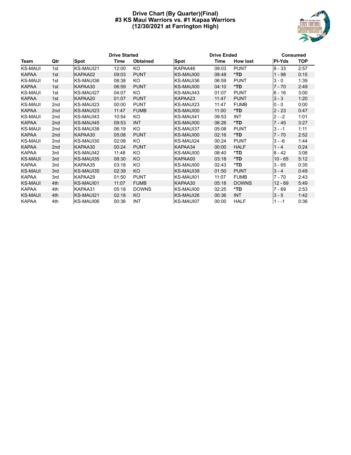#### **Drive Chart (By Quarter)(Final) #3 KS Maui Warriors vs. #1 Kapaa Warriors (12/30/2021 at Farrington High)**



|                |                 |             | <b>Drive Started</b> |                 |                  | <b>Drive Ended</b> |                 |           |            |  |
|----------------|-----------------|-------------|----------------------|-----------------|------------------|--------------------|-----------------|-----------|------------|--|
| Team           | Qtr             | <b>Spot</b> | Time                 | <b>Obtained</b> | <b>Spot</b>      | Time               | <b>How lost</b> | PI-Yds    | <b>TOP</b> |  |
| <b>KS-MAUI</b> | 1st             | KS-MAUI21   | 12:00                | KO              | KAPAA46          | 09:03              | <b>PUNT</b>     | $8 - 33$  | 2:57       |  |
| <b>KAPAA</b>   | 1st             | KAPAA02     | 09:03                | <b>PUNT</b>     | KS-MAUI00        | 08:48              | $*TD$           | $1 - 98$  | 0:15       |  |
| <b>KS-MAUI</b> | 1st             | KS-MAUI36   | 08:38                | KO.             | IKS-MAUI36       | 06:59              | <b>PUNT</b>     | $3 - 0$   | 1:39       |  |
| <b>KAPAA</b>   | 1st             | KAPAA30     | 06:59                | <b>PUNT</b>     | <b>KS-MAUI00</b> | 04:10              | $*TD$           | $7 - 70$  | 2:49       |  |
| <b>KS-MAUI</b> | 1st             | KS-MAUI27   | 04:07                | KO.             | IKS-MAUI43       | 01:07              | <b>PUNT</b>     | $6 - 16$  | 3:00       |  |
| <b>KAPAA</b>   | 1st             | KAPAA20     | 01:07                | <b>PUNT</b>     | KAPAA23          | 11:47              | <b>PUNT</b>     | $3 - 3$   | 1:20       |  |
| <b>KS-MAUI</b> | 2nd             | KS-MAUI23   | 00:00                | <b>PUNT</b>     | KS-MAUI23        | 11:47              | <b>FUMB</b>     | $0 - 0$   | 0:00       |  |
| <b>KAPAA</b>   | 2 <sub>nd</sub> | KS-MAUI23   | 11:47                | <b>FUMB</b>     | <b>KS-MAUI00</b> | 11:00              | *TD             | $2 - 23$  | 0:47       |  |
| <b>KS-MAUI</b> | 2nd             | KS-MAUI43   | 10:54                | KO.             | KS-MAUI41        | 09:53              | INT             | $2 - -2$  | 1:01       |  |
| <b>KAPAA</b>   | 2 <sub>nd</sub> | KS-MAUI45   | 09:53                | <b>INT</b>      | <b>KS-MAUI00</b> | 06:26              | *TD             | $7 - 45$  | 3:27       |  |
| <b>KS-MAUI</b> | 2nd             | KS-MAUI38   | 06:19                | KO.             | KS-MAUI37        | 05:08              | <b>PUNT</b>     | $3 - -1$  | 1:11       |  |
| <b>KAPAA</b>   | 2nd             | KAPAA30     | 05:08                | <b>PUNT</b>     | KS-MAUI00        | 02:16              | $*TD$           | $7 - 70$  | 2:52       |  |
| <b>KS-MAUI</b> | 2nd             | KS-MAUI30   | 02:08                | KO              | KS-MAUI24        | 00:24              | <b>PUNT</b>     | $3 - -6$  | 1:44       |  |
| <b>KAPAA</b>   | 2 <sub>nd</sub> | KAPAA30     | 00:24                | <b>PUNT</b>     | KAPAA34          | 00:00              | <b>HALF</b>     | $1 - 4$   | 0:24       |  |
| <b>KAPAA</b>   | 3rd             | KS-MAUI42   | 11:48                | KO.             | IKS-MAUI00       | 08:40              | *TD             | $8 - 42$  | 3:08       |  |
| <b>KS-MAUI</b> | 3rd             | KS-MAUI35   | 08:30                | KO              | KAPAA00          | 03:18              | *TD             | $10 - 65$ | 5:12       |  |
| <b>KAPAA</b>   | 3rd             | KAPAA35     | 03:18                | KO.             | IKS-MAUI00       | 02:43              | *TD             | $3 - 65$  | 0:35       |  |
| <b>KS-MAUI</b> | 3rd             | KS-MAUI35   | 02:39                | KO              | KS-MAUI39        | 01:50              | <b>PUNT</b>     | $3 - 4$   | 0:49       |  |
| <b>KAPAA</b>   | 3rd             | KAPAA29     | 01:50                | <b>PUNT</b>     | IKS-MAUI01       | 11:07              | <b>FUMB</b>     | 7 - 70    | 2:43       |  |
| <b>KS-MAUI</b> | 4th             | KS-MAUI01   | 11:07                | <b>FUMB</b>     | KAPAA30          | 05:18              | <b>DOWNS</b>    | $12 - 69$ | 5:49       |  |
| <b>KAPAA</b>   | 4th             | KAPAA31     | 05:18                | <b>DOWNS</b>    | IKS-MAUI00       | 02:25              | *TD             | 7 - 69    | 2:53       |  |
| <b>KS-MAUI</b> | 4th             | KS-MAUI21   | 02:18                | KO              | KS-MAUI26        | 00:36              | <b>INT</b>      | $3 - 5$   | 1:42       |  |
| <b>KAPAA</b>   | 4th             | KS-MAUI06   | 00:36                | INT             | IKS-MAUI07       | 00:00              | <b>HALF</b>     | $1 - -1$  | 0:36       |  |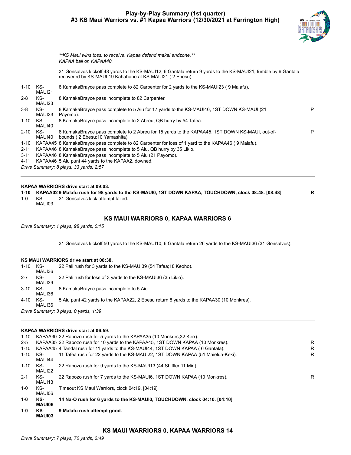#### **Play-by-Play Summary (1st quarter) #3 KS Maui Warriors vs. #1 Kapaa Warriors (12/30/2021 at Farrington High)**



P

*\*\*KS Maui wins toss, to receive. Kapaa defend makai endzone.\*\* KAPAA ball on KAPAA40.*

31 Gonsalves kickoff 48 yards to the KS-MAUI12, 6 Gantala return 9 yards to the KS-MAUI21, fumble by 6 Gantala recovered by KS-MAUI 19 Kahahane at KS-MAUI21 ( 2 Ebesu).

| 1-10     | KS-<br>MAUI21 | 8 KamakaBrayce pass complete to 82 Carpenter for 2 yards to the KS-MAUI23 (9 Malafu).                 |
|----------|---------------|-------------------------------------------------------------------------------------------------------|
| 2-8      | KS-<br>MAUI23 | 8 KamakaBrayce pass incomplete to 82 Carpenter.                                                       |
| 3-8      | KS-<br>MAUI23 | 8 KamakaBrayce pass complete to 5 Aiu for 17 yards to the KS-MAUI40, 1ST DOWN KS-MAUI (21<br>Pavomo). |
| $1 - 10$ | KS-<br>MAUI40 | 8 KamakaBrayce pass incomplete to 2 Abreu, QB hurry by 54 Tafea.                                      |

2-10 KS-MAUI40 bounds ( 2 Ebesu;10 Yamashita). 8 KamakaBrayce pass complete to 2 Abreu for 15 yards to the KAPAA45, 1ST DOWN KS-MAUI, out-of-P

- 1-10 KAPAA45 8 KamakaBrayce pass complete to 82 Carpenter for loss of 1 yard to the KAPAA46 ( 9 Malafu).
- 2-11 KAPAA46 8 KamakaBrayce pass incomplete to 5 Aiu, QB hurry by 35 Likio.
- 3-11 KAPAA46 8 KamakaBrayce pass incomplete to 5 Aiu (21 Payomo).
- 4-11 KAPAA46 5 Aiu punt 44 yards to the KAPAA2, downed.

*Drive Summary: 8 plays, 33 yards, 2:57*

#### **KAPAA WARRIORS drive start at 09:03.**

**1-10 KAPAA02 9 Malafu rush for 98 yards to the KS-MAUI0, 1ST DOWN KAPAA, TOUCHDOWN, clock 08:48. [08:48] R**

1-0 KS-MAUI03 31 Gonsalves kick attempt failed.

#### **KS MAUI WARRIORS 0, KAPAA WARRIORS 6**

*Drive Summary: 1 plays, 98 yards, 0:15*

31 Gonsalves kickoff 50 yards to the KS-MAUI10, 6 Gantala return 26 yards to the KS-MAUI36 (31 Gonsalves).

#### **KS MAUI WARRIORS drive start at 08:38.**

1-10 KS-MAUI36 22 Pali rush for 3 yards to the KS-MAUI39 (54 Tafea;18 Keoho).

- 2-7 KS-22 Pali rush for loss of 3 yards to the KS-MAUI36 (35 Likio).
- 3-10 KS-8 KamakaBrayce pass incomplete to 5 Aiu.
- MAUI36 4-10 KS-5 Aiu punt 42 yards to the KAPAA22, 2 Ebesu return 8 yards to the KAPAA30 (10 Monkres).

MAUI36 *Drive Summary: 3 plays, 0 yards, 1:39*

MAUI39

#### **KAPAA WARRIORS drive start at 06:59.**

| 1-0      | KS-<br>MAUI03 | 9 Malafu rush attempt good.                                                      |   |
|----------|---------------|----------------------------------------------------------------------------------|---|
| 1-0      | KS-<br>MAUI06 | 14 Na-O rush for 6 yards to the KS-MAUI0, TOUCHDOWN, clock 04:10. [04:10]        |   |
| $1-0$    | KS-<br>MAUI06 | Timeout KS Maui Warriors, clock 04:19. [04:19]                                   |   |
| $2 - 1$  | KS-<br>MAUI13 | 22 Rapozo rush for 7 yards to the KS-MAUI6, 1ST DOWN KAPAA (10 Monkres).         | R |
| 1-10     | KS-<br>MAUI22 | 22 Rapozo rush for 9 yards to the KS-MAUI13 (44 Shiffler; 11 Min).               |   |
| 1-10     | KS-<br>MAUI44 | 11 Tafea rush for 22 yards to the KS-MAUI22, 1ST DOWN KAPAA (51 Maielua-Keki).   | R |
| $1 - 10$ |               | KAPAA45 4 Tandal rush for 11 yards to the KS-MAUI44, 1ST DOWN KAPAA (6 Gantala). | R |
| $2 - 5$  |               | KAPAA35 22 Rapozo rush for 10 yards to the KAPAA45, 1ST DOWN KAPAA (10 Monkres). | R |
|          |               | 1-10 KAPAA30 22 Rapozo rush for 5 yards to the KAPAA35 (10 Monkres; 32 Kerr).    |   |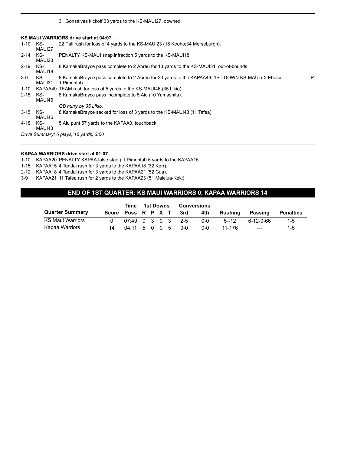31 Gonsalves kickoff 33 yards to the KS-MAUI27, downed.

#### **KS MAUI WARRIORS drive start at 04:07.**

| $1 - 10$ | KS-<br>MAUI27 | 22 Pali rush for loss of 4 yards to the KS-MAUI23 (18 Keoho; 34 Merseburgh).                                    |   |
|----------|---------------|-----------------------------------------------------------------------------------------------------------------|---|
| $2 - 14$ | KS-<br>MAUI23 | PENALTY KS-MAUI snap infraction 5 yards to the KS-MAUI18.                                                       |   |
| $2 - 19$ | KS-<br>MAUI18 | 8 KamakaBrayce pass complete to 2 Abreu for 13 yards to the KS-MAU131, out-of-bounds.                           |   |
| $3-6$    | KS-<br>MAUI31 | 8 KamakaBrayce pass complete to 2 Abreu for 20 yards to the KAPAA49, 1ST DOWN KS-MAUI (2 Ebesu;<br>1 Pimental). | P |
| 1-10     |               | KAPAA49 TEAM rush for loss of 5 yards to the KS-MAUI46 (35 Likio).                                              |   |
| $2 - 15$ | KS-<br>MAUI46 | 8 KamakaBrayce pass incomplete to 5 Aiu (10 Yamashita).                                                         |   |
|          |               | QB hurry by 35 Likio.                                                                                           |   |
| $3 - 15$ | KS-<br>MAUI46 | 8 KamakaBrayce sacked for loss of 3 yards to the KS-MAUI43 (11 Tafea).                                          |   |
| 4-18     | KS-<br>MAUI43 | 5 Aiu punt 57 yards to the KAPAA0, touchback.                                                                   |   |
|          |               | Drive Summary: 6 plays, 16 yards, 3:00                                                                          |   |

#### **KAPAA WARRIORS drive start at 01:07.**

1-10 KAPAA20 PENALTY KAPAA false start ( 1 Pimental) 5 yards to the KAPAA15.

- 1-15 KAPAA15 4 Tandal rush for 3 yards to the KAPAA18 (32 Kerr).
- 2-12 KAPAA18 4 Tandal rush for 3 yards to the KAPAA21 (52 Cua).
- 3-9 KAPAA21 11 Tafea rush for 2 yards to the KAPAA23 (51 Maielua-Keki).

#### **END OF 1ST QUARTER: KS MAUI WARRIORS 0, KAPAA WARRIORS 14**

|                        | Time                   | 1st Downs           |  |  |  | <b>Conversions</b> |     |     |          |            |                  |
|------------------------|------------------------|---------------------|--|--|--|--------------------|-----|-----|----------|------------|------------------|
| <b>Quarter Summary</b> | Score Poss R P X T 3rd |                     |  |  |  |                    |     | 4th | Rushina  | Passing    | <b>Penalties</b> |
| KS Maui Warriors       |                        | $07:49$ 0 3 0 3 2-5 |  |  |  |                    |     | 0-0 | $5 - 12$ | .6-12-0-66 | $1-5$            |
| Kapaa Warriors         | 14                     | 04:11 5 0 0 5       |  |  |  |                    | 0-0 | 0-0 | 11-176   | $---$      | $1 - 5$          |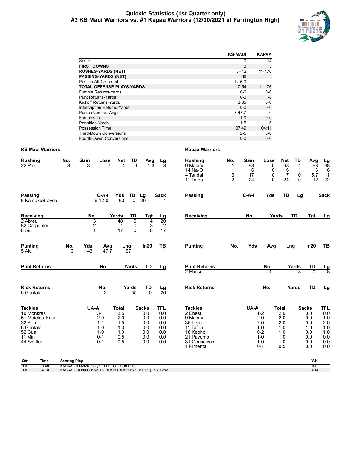#### **Quickie Statistics (1st Quarter only) #3 KS Maui Warriors vs. #1 Kapaa Warriors (12/30/2021 at Farrington High)**



|                                   | <b>KS-MAUI</b> | <b>KAPAA</b> |
|-----------------------------------|----------------|--------------|
| Score                             | 0              | 14           |
| <b>FIRST DOWNS</b>                | 3              | 5            |
| <b>RUSHES-YARDS (NET)</b>         | $5 - 12$       | 11-176       |
| <b>PASSING-YARDS (NET)</b>        | 66             |              |
| Passes Att-Comp-Int               | $12 - 6 - 0$   |              |
| <b>TOTAL OFFENSE PLAYS-YARDS</b>  | 17-54          | 11-176       |
| Fumble Returns-Yards              | $0 - 0$        | $0-0$        |
| <b>Punt Returns-Yards</b>         | $0 - 0$        | $1 - 8$      |
| Kickoff Returns-Yards             | $2 - 35$       | $0-0$        |
| <b>Interception Returns-Yards</b> | $0 - 0$        | $0-0$        |
| Punts (Number-Avg)                | $3-47.7$       | -0           |
| Fumbles-Lost                      | $1 - 0$        | $0-0$        |
| Penalties-Yards                   | $1 - 5$        | $1 - 5$      |
| Possession Time                   | 07:49          | 04:11        |
| <b>Third-Down Conversions</b>     | $2 - 5$        | $0 - 0$      |
| <b>Fourth-Down Conversions</b>    | $0 - 0$        | $0 - 0$      |

| <b>Rushing</b>                                                                                             | No.                 | Gain                                | Loss                                                                    | <b>Net</b>                                                                 | TD                       | Avg                                                           | Lg                                                          | <b>Rushing</b>                                                                                                       | No.                      | Gain                | Loss                                                                               | <b>Net</b>                                                                        | TD                 | Avg                                                                  |                                                                    |
|------------------------------------------------------------------------------------------------------------|---------------------|-------------------------------------|-------------------------------------------------------------------------|----------------------------------------------------------------------------|--------------------------|---------------------------------------------------------------|-------------------------------------------------------------|----------------------------------------------------------------------------------------------------------------------|--------------------------|---------------------|------------------------------------------------------------------------------------|-----------------------------------------------------------------------------------|--------------------|----------------------------------------------------------------------|--------------------------------------------------------------------|
| 22 Pali                                                                                                    | 3                   | 3                                   | -7                                                                      | $-4$                                                                       | $\Omega$                 |                                                               |                                                             | 9 Malafu<br>14 Na-O<br>4 Tandal<br>11 Tafea                                                                          | 1<br>3<br>$\overline{2}$ | 98<br>6<br>17<br>24 | 0<br>0<br>0<br>$\Omega$                                                            | 98<br>6<br>17<br>24                                                               | 1<br>0<br>$\Omega$ | 98<br>6<br>5.7<br>12                                                 | $\frac{Lg}{98}$<br>6<br>11<br>22                                   |
| <b>Passing</b><br>8 KamakaBrayce                                                                           |                     |                                     | $C-A-I$<br>$6 - 12 - 0$                                                 | Yds<br>63                                                                  | TD<br>$\overline{0}$     | Lg<br>20                                                      | Sack                                                        | <b>Passing</b>                                                                                                       |                          | $C-A-I$             | Yds                                                                                | <b>TD</b>                                                                         | Lg                 |                                                                      | <b>Sack</b>                                                        |
| <b>Receiving</b><br>2 Abreu<br>82 Carpenter<br>5 Aiu                                                       |                     | No.<br>3<br>$\overline{\mathbf{c}}$ |                                                                         | Yards<br>48<br>$\mathbf{1}$<br>17                                          | TD<br>0<br>0<br>$\Omega$ | <b>Tgt</b><br>4<br>$\frac{3}{5}$                              | $\frac{Lg}{20}$<br>$\frac{2}{17}$                           | Receiving                                                                                                            |                          | No.                 | Yards                                                                              |                                                                                   | <b>TD</b>          | Tgt                                                                  | Lg                                                                 |
| <b>Punting</b><br>5 Aiu                                                                                    | No.<br>3            | Yds<br>143                          | Avg<br>47.7                                                             | Lng                                                                        | 57                       | In20                                                          | <u>TB</u>                                                   | <b>Punting</b>                                                                                                       | No.                      | Yds                 | Avg                                                                                | Lng                                                                               |                    | In20                                                                 | TB                                                                 |
| <b>Punt Returns</b>                                                                                        |                     |                                     | No.                                                                     |                                                                            | Yards                    | <b>TD</b>                                                     | Lg                                                          | <b>Punt Returns</b><br>2 Ebesu                                                                                       |                          |                     | No.<br>1                                                                           |                                                                                   | Yards<br>8         | TD<br>$\Omega$                                                       | <u>Lg</u><br>8                                                     |
| <b>Kick Returns</b><br>6 Gantala                                                                           |                     |                                     | No.<br>$\overline{2}$                                                   |                                                                            | Yards<br>$\overline{35}$ | TD<br>$\overline{0}$                                          | $\frac{\text{Lg}}{26}$                                      | <b>Kick Returns</b>                                                                                                  |                          |                     | No.                                                                                |                                                                                   | Yards              | <b>TD</b>                                                            | Lg                                                                 |
| <b>Tackles</b><br>10 Monkres<br>51 Maielua-Keki<br>32 Kerr<br>6 Gantala<br>52 Cua<br>11 Min<br>44 Shiffler |                     | UA-A                                | $3-1$<br>$2 - 0$<br>$1 - 1$<br>$1 - 0$<br>$1 - 0$<br>$0 - 1$<br>$0 - 1$ | <b>Total</b><br>$\overline{3.5}$<br>2.0<br>1.5<br>1.0<br>1.0<br>0.5<br>0.5 |                          | <b>Sacks</b><br>0.0<br>0.0<br>0.0<br>0.0<br>0.0<br>0.0<br>0.0 | <b>TFL</b><br>0.0<br>0.0<br>0.0<br>0.0<br>0.0<br>0.0<br>0.0 | <b>Tackles</b><br>2 Ebesu<br>9 Malafu<br>35 Likio<br>11 Tafea<br>18 Keoho<br>21 Payomo<br>31 Gonsalves<br>1 Pimental |                          | UA-A                | $1-2$<br>$2 - 0$<br>$2 - 0$<br>$1 - 0$<br>$0 - 2$<br>$1 - 0$<br>$1 - 0$<br>$0 - 1$ | <b>Total</b><br>$\overline{2.0}$<br>2.0<br>2.0<br>1.0<br>1.0<br>1.0<br>1.0<br>0.5 |                    | <b>Sacks</b><br>0.0<br>0.0<br>0.0<br>1.0<br>0.0<br>0.0<br>0.0<br>0.0 | <b>TFL</b><br>0.0<br>1.0<br>2.0<br>1.0<br>1.0<br>0.0<br>0.0<br>0.0 |
| Qtr<br>Time                                                                                                | <b>Scoring Play</b> |                                     |                                                                         |                                                                            |                          |                                                               |                                                             |                                                                                                                      |                          |                     |                                                                                    |                                                                                   |                    | V-H                                                                  |                                                                    |

| uu  | ппе   | <b>SCOTTILY</b> FINY                                       |       |
|-----|-------|------------------------------------------------------------|-------|
| 1st | 08:48 | KAPAA - 9 Malafu 98 vd TD RUSH 1-98 0:15                   | 0-е   |
| 1st | 04:10 | KAPAA - 14 Na-O 6 yd TD RUSH (RUSH by 9 Malafu), 7-70 2:49 | U- 14 |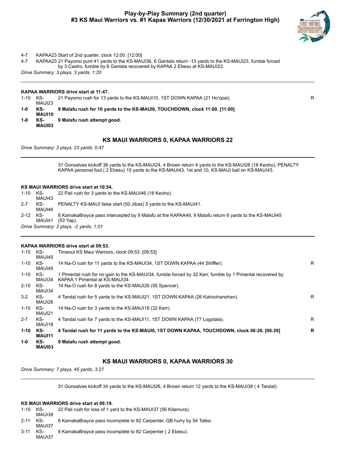#### **Play-by-Play Summary (2nd quarter) #3 KS Maui Warriors vs. #1 Kapaa Warriors (12/30/2021 at Farrington High)**



4-7 KAPAA23 Start of 2nd quarter, clock 12:00. [12:00]

4-7 KAPAA23 21 Payomo punt 41 yards to the KS-MAUI36, 6 Gantala return -13 yards to the KS-MAUI23, fumble forced by 3 Castro, fumble by 6 Gantala recovered by KAPAA 2 Ebesu at KS-MAUI23.

*Drive Summary: 3 plays, 3 yards, 1:20*

#### **KAPAA WARRIORS drive start at 11:47.**

1-10 KS-MAUI23 21 Payomo rush for 13 yards to the KS-MAUI10, 1ST DOWN KAPAA (21 Ho'opai). R **1-0 KS-MAUI10 9 Malafu rush for 10 yards to the KS-MAUI0, TOUCHDOWN, clock 11:00. [11:00]**

**1-0 KS-MAUI03 9 Malafu rush attempt good.**

#### **KS MAUI WARRIORS 0, KAPAA WARRIORS 22**

*Drive Summary: 2 plays, 23 yards, 0:47*

31 Gonsalves kickoff 36 yards to the KS-MAUI24, 4 Brown return 4 yards to the KS-MAUI28 (18 Keoho), PENALTY KAPAA personal foul ( 2 Ebesu) 15 yards to the KS-MAUI43, 1st and 10, KS-MAUI ball on KS-MAUI43.

#### **KS MAUI WARRIORS drive start at 10:54.**

| 1-10 | KS-<br>MAUI43 | 22 Pali rush for 3 yards to the KS-MAUI46 (18 Keoho).                                                             |
|------|---------------|-------------------------------------------------------------------------------------------------------------------|
| 2-7  | KS-<br>MAUI46 | PENALTY KS-MAUI false start (50 Jibas) 5 yards to the KS-MAUI41.                                                  |
| 2-12 | KS-<br>MAUI41 | 8 KamakaBrayce pass intercepted by 9 Malafu at the KAPAA49, 9 Malafu return 6 vards to the KS-MAUI45<br>(53 Yap). |
|      |               | Drive Summary: 2 plays, -2 yards, 1:01                                                                            |

#### **KAPAA WARRIORS drive start at 09:53.**

| $1 - 10$ | KS-<br>MAUI45        | Timeout KS Maui Warriors, clock 09:53. [09:53]                                                                                              |    |
|----------|----------------------|---------------------------------------------------------------------------------------------------------------------------------------------|----|
| $1 - 10$ | KS-<br>MAUI45        | 14 Na-O rush for 11 yards to the KS-MAUI34, 1ST DOWN KAPAA (44 Shiffler).                                                                   | R  |
| $1 - 10$ | KS-<br>MAUI34        | 1 Pimental rush for no gain to the KS-MAUI34, fumble forced by 32 Kerr, fumble by 1 Pimental recovered by<br>KAPAA 1 Pimental at KS-MAUI34. |    |
| $2 - 10$ | KS-<br>MAUI34        | 14 Na-O rush for 8 yards to the KS-MAUI26 (55 Spencer).                                                                                     |    |
| $3 - 2$  | KS-<br>MAUI26        | 4 Tandal rush for 5 yards to the KS-MAUI21, 1ST DOWN KAPAA (26 Kahoohanohan).                                                               | R  |
| $1 - 10$ | KS-<br>MAUI21        | 14 Na-O rush for 3 yards to the KS-MAUI18 (32 Kerr).                                                                                        |    |
| $2 - 7$  | KS-<br>MAUI18        | 4 Tandal rush for 7 yards to the KS-MAUI11, 1ST DOWN KAPAA (77 Logotala).                                                                   | R. |
| $1 - 10$ | KS-<br><b>MAUI11</b> | 4 Tandal rush for 11 yards to the KS-MAUI0, 1ST DOWN KAPAA, TOUCHDOWN, clock 06:26. [06:26]                                                 | R  |
| $1-0$    | KS-<br>MAUI03        | 9 Malafu rush attempt good.                                                                                                                 |    |

#### **KS MAUI WARRIORS 0, KAPAA WARRIORS 30**

*Drive Summary: 7 plays, 45 yards, 3:27*

31 Gonsalves kickoff 34 yards to the KS-MAUI26, 4 Brown return 12 yards to the KS-MAUI38 ( 4 Tandal).

#### **KS MAUI WARRIORS drive start at 06:19.**

| 1-10 | KS-<br>MAUI38 | 22 Pali rush for loss of 1 yard to the KS-MAUI37 (56 Kitamura).       |
|------|---------------|-----------------------------------------------------------------------|
| 2-11 | KS-<br>MAUI37 | 8 KamakaBrayce pass incomplete to 82 Carpenter, QB hurry by 54 Tafea. |
| 3-11 | KS-<br>MAUI37 | 8 KamakaBrayce pass incomplete to 82 Carpenter (2 Ebesu).             |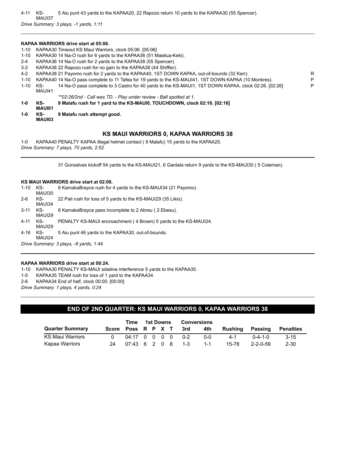4-11 KS-MAUI37 5 Aiu punt 43 yards to the KAPAA20, 22 Rapozo return 10 yards to the KAPAA30 (55 Spencer).

*Drive Summary: 3 plays, -1 yards, 1:11*

#### **KAPAA WARRIORS drive start at 05:08.**

- 1-10 KAPAA30 Timeout KS Maui Warriors, clock 05:06. [05:06]
- 1-10 KAPAA30 14 Na-O rush for 6 yards to the KAPAA36 (51 Maielua-Keki).
- 2-4 KAPAA36 14 Na-O rush for 2 yards to the KAPAA38 (55 Spencer).
- 3-2 KAPAA38 22 Rapozo rush for no gain to the KAPAA38 (44 Shiffler).
- 4-2 KAPAA38 21 Payomo rush for 2 yards to the KAPAA40, 1ST DOWN KAPAA, out-of-bounds (32 Kerr).
- 
- 1-10 KAPAA40 14 Na-O pass complete to 11 Tafea for 19 yards to the KS-MAUI41, 1ST DOWN KAPAA (10 Monkres). P<br>1-10 KS- 14 Na-O pass complete to 3 Castro for 40 vards to the KS-MAUI1 1ST DOWN KAPAA clock 02:26 [02:26] 1-10 KS-MAUI41 14 Na-O pass complete to 3 Castro for 40 yards to the KS-MAUI1, 1ST DOWN KAPAA, clock 02:26. [02:26] P
	- *\*\*02:26/2nd Call was TD. Play under review Ball spotted at 1.*
- **1-0 KS-MAUI01 9 Malafu rush for 1 yard to the KS-MAUI0, TOUCHDOWN, clock 02:16. [02:16]**
- **1-0 KS-9 Malafu rush attempt good.**
	- **MAUI03**

#### **KS MAUI WARRIORS 0, KAPAA WARRIORS 38**

1-0 KAPAA40 PENALTY KAPAA illegal helmet contact ( 9 Malafu) 15 yards to the KAPAA25. *Drive Summary: 7 plays, 70 yards, 2:52*

31 Gonsalves kickoff 54 yards to the KS-MAUI21, 6 Gantala return 9 yards to the KS-MAUI30 ( 5 Coleman).

#### **KS MAUI WARRIORS drive start at 02:08.**

- 1-10 KS-MAUI30 8 KamakaBrayce rush for 4 yards to the KS-MAUI34 (21 Payomo). 2-6 KS-MAUI34 22 Pali rush for loss of 5 yards to the KS-MAUI29 (35 Likio).
- 3-11 KS-8 KamakaBrayce pass incomplete to 2 Abreu ( 2 Ebesu).
- MAUI29 4-11 KS-PENALTY KS-MAUI encroachment ( 4 Brown) 5 yards to the KS-MAUI24.
- MAUI29 4-16 KS-5 Aiu punt 46 yards to the KAPAA30, out-of-bounds.

MAUI24 *Drive Summary: 3 plays, -6 yards, 1:44*

#### **KAPAA WARRIORS drive start at 00:24.**

1-10 KAPAA30 PENALTY KS-MAUI sideline interference 5 yards to the KAPAA35.

1-5 KAPAA35 TEAM rush for loss of 1 yard to the KAPAA34.

2-6 KAPAA34 End of half, clock 00:00. [00:00]

*Drive Summary: 1 plays, 4 yards, 0:24*

#### **END OF 2ND QUARTER: KS MAUI WARRIORS 0, KAPAA WARRIORS 38**

|                        |                    | Time                                    | 1st Downs |  |  | <b>Conversions</b> |         |         |                  |                  |
|------------------------|--------------------|-----------------------------------------|-----------|--|--|--------------------|---------|---------|------------------|------------------|
| <b>Quarter Summary</b> | Score Poss R P X T |                                         |           |  |  | 3rd                | 4th     | Rushina | Passing          | <b>Penalties</b> |
| KS Maui Warriors       |                    | 04:17 0 0 0 0                           |           |  |  | $0 - 2$            | 0-0     | $4 - 1$ | $0 - 4 - 1 - 0$  | $3 - 15$         |
| Kapaa Warriors         | 24                 | $07:43 \quad 6 \quad 2 \quad 0 \quad 8$ |           |  |  | $-1-3$             | $1 - 1$ | 15-78   | $2 - 2 - 0 - 59$ | $2 - 30$         |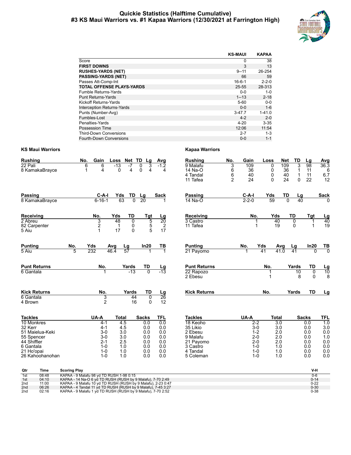#### **Quickie Statistics (Halftime Cumulative) #3 KS Maui Warriors vs. #1 Kapaa Warriors (12/30/2021 at Farrington High)**



|                                   | <b>KS-MAUI</b> | <b>KAPAA</b> |
|-----------------------------------|----------------|--------------|
| Score                             | 0              | 38           |
| <b>FIRST DOWNS</b>                | 3              | 13           |
| <b>RUSHES-YARDS (NET)</b>         | $9 - 11$       | 26-254       |
| <b>PASSING-YARDS (NET)</b>        | 66             | 59           |
| Passes Att-Comp-Int               | $16 - 6 - 1$   | $2 - 2 - 0$  |
| <b>TOTAL OFFENSE PLAYS-YARDS</b>  | 25-55          | 28-313       |
| <b>Fumble Returns-Yards</b>       | $0 - 0$        | $1 - 0$      |
| <b>Punt Returns-Yards</b>         | $1 - 13$       | $2 - 18$     |
| Kickoff Returns-Yards             | $5 - 60$       | $0 - 0$      |
| <b>Interception Returns-Yards</b> | $0 - 0$        | $1 - 6$      |
| Punts (Number-Avg)                | $3-47.7$       | $1 - 41.0$   |
| Fumbles-Lost                      | $4 - 2$        | $2 - 0$      |
| Penalties-Yards                   | $4 - 20$       | $3 - 35$     |
| Possession Time                   | 12:06          | 11:54        |
| <b>Third-Down Conversions</b>     | $2 - 7$        | $1 - 3$      |
| Fourth-Down Conversions           | $0 - 0$        | $1 - 1$      |

| <b>Rushing</b><br>22 Pali<br>8 KamakaBrayce                                                                                           | No.                   | Gain<br>6<br>6<br>4<br>1                                                                 | Loss<br>$-13$<br>$\Omega$                                            | Net<br>TD<br>$-7$<br>4   | Lg<br>0<br>3<br>0<br>4                                               | Avg<br>$-1.2$<br>4                                                 | <b>Rushing</b><br>9 Malafu<br>14 Na-O<br>4 Tandal<br>11 Tafea                                                   | No.<br>3<br>6<br>6<br>$\overline{2}$ | Gain<br>109<br>36<br>40<br>24                                                              | Loss<br>0<br>0<br>0<br>$\Omega$ | <b>Net</b><br>109<br>36<br>40<br>24                               | TD<br>3<br>$\mathbf 1$<br>$\mathbf 1$<br>$\Omega$ | Lg<br>$\overline{98}$<br>11<br>11<br>22                              | Avg<br>36.3<br>6<br>6.7<br>12                                                   |
|---------------------------------------------------------------------------------------------------------------------------------------|-----------------------|------------------------------------------------------------------------------------------|----------------------------------------------------------------------|--------------------------|----------------------------------------------------------------------|--------------------------------------------------------------------|-----------------------------------------------------------------------------------------------------------------|--------------------------------------|--------------------------------------------------------------------------------------------|---------------------------------|-------------------------------------------------------------------|---------------------------------------------------|----------------------------------------------------------------------|---------------------------------------------------------------------------------|
| <b>Passing</b><br>8 KamakaBrayce                                                                                                      |                       | $C-A-I$<br>$6 - 16 - 1$                                                                  | Yds<br>63                                                            | TD<br>$\overline{0}$     | Lg<br>20                                                             | Sack                                                               | Passing<br>14 Na-O                                                                                              |                                      | $C-A-I$<br>$2 - 2 - 0$                                                                     | Yds<br>59                       | TD<br>$\Omega$                                                    | Lg<br>40                                          |                                                                      | <b>Sack</b>                                                                     |
| Receiving<br>2 Abreu<br>82 Carpenter<br>5 Aiu                                                                                         |                       | No.<br>3<br>$\overline{2}$<br>1                                                          | Yds<br>48<br>$\mathbf{1}$<br>17                                      | TD<br>0<br>0<br>$\Omega$ | <b>Tgt</b><br>5<br>$\frac{5}{5}$                                     | Lg<br>20<br>$\overline{2}$<br>17                                   | Receiving<br>3 Castro<br>11 Tafea                                                                               |                                      | No.<br>1<br>$\mathbf{1}$                                                                   | Yds<br>40<br>19                 |                                                                   | TD<br>0<br>0                                      | <b>Tgt</b><br>1<br>$\mathbf{1}$                                      | $\frac{Lg}{40}$<br>19                                                           |
| <b>Punting</b><br>5 Aiu                                                                                                               | No.<br>$\overline{5}$ | Yds<br>232                                                                               | Avg<br>46.4                                                          | $\frac{Lg}{57}$          | In20                                                                 | TВ<br>$\mathbf 1$                                                  | <b>Punting</b><br>21 Payomo                                                                                     |                                      | No.                                                                                        | Yds<br>41                       | Avg<br>41.0                                                       | Lg<br>41                                          | In20<br>0                                                            | $\frac{TB}{0}$                                                                  |
| <b>Punt Returns</b><br>6 Gantala                                                                                                      |                       | No.                                                                                      |                                                                      | Yards<br>$-13$           | TD                                                                   | $\frac{\text{Lg}}{-13}$                                            | <b>Punt Returns</b><br>22 Rapozo<br>2 Ebesu                                                                     |                                      |                                                                                            | No.<br>1<br>1                   |                                                                   | Yards<br>10<br>8                                  | TD<br>$\overline{0}$<br>$\mathbf{0}$                                 | $\frac{\text{Lg}}{10}$                                                          |
| <b>Kick Returns</b><br>6 Gantala<br>4 Brown                                                                                           |                       | No.<br>3<br>$\overline{2}$                                                               |                                                                      | Yards<br>44<br>16        | <b>TD</b><br>$\overline{0}$<br>$\Omega$                              | $\frac{Lg}{26}$<br>12                                              | <b>Kick Returns</b>                                                                                             |                                      |                                                                                            | No.                             |                                                                   | Yards                                             | <b>TD</b>                                                            | Lg                                                                              |
| <b>Tackles</b><br>10 Monkres<br>32 Kerr<br>51 Maielua-Keki<br>55 Spencer<br>44 Shiffler<br>6 Gantala<br>21 Ho'opai<br>26 Kahoohanohan |                       | UA-A<br>$4 - 1$<br>$4 - 1$<br>$3-0$<br>$3-0$<br>$2 - 1$<br>$1 - 0$<br>$1 - 0$<br>$1 - 0$ | <b>Total</b><br>4.5<br>4.5<br>3.0<br>3.0<br>2.5<br>1.0<br>1.0<br>1.0 |                          | <b>Sacks</b><br>0.0<br>0.0<br>0.0<br>0.0<br>0.0<br>0.0<br>0.0<br>0.0 | <b>TFL</b><br>0.0<br>0.0<br>0.0<br>0.0<br>0.0<br>0.0<br>0.0<br>0.0 | <b>Tackles</b><br>18 Keoho<br>35 Likio<br>2 Ebesu<br>9 Malafu<br>21 Payomo<br>3 Castro<br>4 Tandal<br>5 Coleman |                                      | UA-A<br>$2 - 2$<br>$3-0$<br>$1 - 2$<br>$2 - 0$<br>$2 - 0$<br>$1 - 0$<br>$1 - 0$<br>$1 - 0$ | <b>Total</b>                    | $\overline{3.0}$<br>3.0<br>2.0<br>2.0<br>2.0<br>1.0<br>1.0<br>1.0 |                                                   | <b>Sacks</b><br>0.0<br>0.0<br>0.0<br>0.0<br>0.0<br>0.0<br>0.0<br>0.0 | <b>TFL</b><br>$\overline{1.0}$<br>3.0<br>0.0<br>1.0<br>0.0<br>0.0<br>0.0<br>0.0 |
| Qtr<br>Time                                                                                                                           | <b>Scoring Play</b>   |                                                                                          |                                                                      |                          |                                                                      |                                                                    |                                                                                                                 |                                      |                                                                                            |                                 |                                                                   |                                                   | V-H                                                                  |                                                                                 |

| wu               | пше   | <b>OCOLING FIRE</b>                                          | v-n      |
|------------------|-------|--------------------------------------------------------------|----------|
| $\overline{1st}$ | 08:48 | KAPAA - 9 Malafu 98 vd TD RUSH 1-98 0:15                     |          |
| 1st              | 04:10 | KAPAA - 14 Na-O 6 yd TD RUSH (RUSH by 9 Malafu), 7-70 2:49   | $0 - 14$ |
| 2 <sub>nd</sub>  | 11:00 | KAPAA - 9 Malafu 10 vd TD RUSH (RUSH by 9 Malafu), 2-23 0:47 | $0 - 22$ |
| 2nd              | 06:26 | KAPAA - 4 Tandal 11 yd TD RUSH (RUSH by 9 Malafu), 7-45 3:27 | $0 - 30$ |
| 2 <sub>nd</sub>  | 02:16 | KAPAA - 9 Malafu 1 yd TD RUSH (RUSH by 9 Malafu), 7-70 2:52  | $0 - 38$ |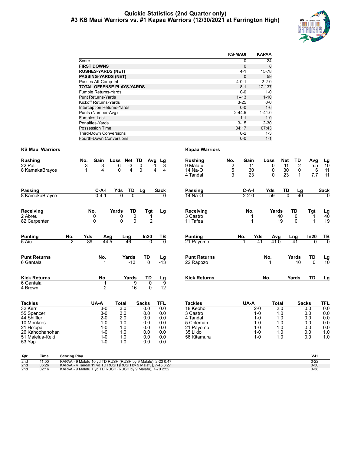#### **Quickie Statistics (2nd Quarter only) #3 KS Maui Warriors vs. #1 Kapaa Warriors (12/30/2021 at Farrington High)**



|                                  | <b>KS-MAUI</b> | <b>KAPAA</b> |
|----------------------------------|----------------|--------------|
| Score                            | 0              | 24           |
| <b>FIRST DOWNS</b>               | $\Omega$       | 8            |
| <b>RUSHES-YARDS (NET)</b>        | $4-1$          | 15-78        |
| <b>PASSING-YARDS (NET)</b>       | $\Omega$       | 59           |
| Passes Att-Comp-Int              | $4 - 0 - 1$    | $2 - 2 - 0$  |
| <b>TOTAL OFFENSE PLAYS-YARDS</b> | $8 - 1$        | 17-137       |
| Fumble Returns-Yards             | $0 - 0$        | 1-0          |
| <b>Punt Returns-Yards</b>        | $1 - 13$       | $1 - 10$     |
| Kickoff Returns-Yards            | $3 - 25$       | $0 - 0$      |
| Interception Returns-Yards       | $0 - 0$        | $1 - 6$      |
| Punts (Number-Avg)               | $2 - 44.5$     | $1 - 41.0$   |
| Fumbles-Lost                     | $1 - 1$        | $1 - 0$      |
| Penalties-Yards                  | $3 - 15$       | $2 - 30$     |
| Possession Time                  | 04:17          | 07:43        |
| <b>Third-Down Conversions</b>    | $0 - 2$        | $1 - 3$      |
| <b>Fourth-Down Conversions</b>   | $0 - 0$        | $1 - 1$      |

| <b>Rushing</b><br>22 Pali<br>8 KamakaBrayce                                                                                        | No.<br>3<br>1                                                                                                                                                                                                      | Gain<br>3<br>4                                                                           | Loss<br>-6<br>د۔<br>$\Omega$<br>$\overline{4}$                                    | Net TD<br>Avg<br>0<br>$\Omega$                                       | Lg<br>3<br>4<br>4                                           | <b>Rushing</b><br>9 Malafu<br>14 Na-O<br>4 Tandal                                                       | No.<br>$\overline{2}$<br>5<br>3 | Gain<br>$\overline{11}$<br>30<br>23 |                                                                         | Loss<br>$\Omega$<br>0<br>$\Omega$ | Net<br>$\overline{11}$<br>30<br>23                         | TD<br>$\overline{2}$<br>0<br>$\mathbf{1}$ | Avg<br>5.5<br>6<br>7.7                                        | <u>Lg</u><br>$\overline{10}$<br>11<br>11             |
|------------------------------------------------------------------------------------------------------------------------------------|--------------------------------------------------------------------------------------------------------------------------------------------------------------------------------------------------------------------|------------------------------------------------------------------------------------------|-----------------------------------------------------------------------------------|----------------------------------------------------------------------|-------------------------------------------------------------|---------------------------------------------------------------------------------------------------------|---------------------------------|-------------------------------------|-------------------------------------------------------------------------|-----------------------------------|------------------------------------------------------------|-------------------------------------------|---------------------------------------------------------------|------------------------------------------------------|
| Passing<br>8 KamakaBrayce                                                                                                          |                                                                                                                                                                                                                    | C-A-I<br>$0 - 4 - 1$                                                                     | TD<br>Yds<br>$\overline{0}$                                                       | Lg<br>$\overline{0}$                                                 | Sack<br><sup>0</sup>                                        | <b>Passing</b><br>14 Na-O                                                                               |                                 | $C-A-I$<br>$2 - 2 - 0$              |                                                                         | Yds<br>59                         | TD<br>$\overline{0}$                                       | <u>Lg</u><br>$\overline{40}$              |                                                               | <b>Sack</b><br>$\Omega$                              |
| Receiving<br>2 Abreu<br>82 Carpenter                                                                                               |                                                                                                                                                                                                                    | No.<br>$\mathbf{0}$<br>$\Omega$                                                          | Yards<br>0<br>$\Omega$                                                            | TD<br>Tgt<br>0<br>1<br>$\Omega$<br>$\overline{2}$                    | Lg                                                          | <b>Receiving</b><br>3 Castro<br>11 Tafea                                                                |                                 | No.                                 |                                                                         | Yards                             | 40<br>19                                                   | TD<br>0<br>$\Omega$                       | Tgt<br>1<br>$\overline{1}$                                    | $\frac{Lg}{40}$<br>19                                |
| <b>Punting</b><br>5 Aiu                                                                                                            | No.<br>Yds<br>$\overline{2}$<br>89                                                                                                                                                                                 | Avg<br>44.5                                                                              | Lng<br>46                                                                         | In20<br>$\Omega$                                                     | TB<br>$\overline{0}$                                        | <b>Punting</b><br>21 Payomo                                                                             |                                 | No.                                 | Yds<br>41                                                               | Avg<br>41.0                       |                                                            | Lng<br>41                                 | In20<br>$\Omega$                                              | $\frac{TB}{0}$                                       |
| <b>Punt Returns</b><br>6 Gantala                                                                                                   |                                                                                                                                                                                                                    | No.<br>1                                                                                 | Yards<br>$-13$                                                                    | TD<br>$\overline{0}$                                                 | $\frac{\text{Lg}}{-13}$                                     | <b>Punt Returns</b><br>22 Rapozo                                                                        |                                 |                                     |                                                                         | No.<br>1                          |                                                            | Yards<br>10                               | TD<br>$\Omega$                                                | $\frac{\text{Lg}}{10}$                               |
| <b>Kick Returns</b><br>6 Gantala<br>4 Brown                                                                                        |                                                                                                                                                                                                                    | No.<br>1<br>$\overline{2}$                                                               | Yards                                                                             | <b>TD</b><br>$\overline{9}$<br>0<br>16<br>0                          | Lg<br>$\overline{9}$<br>12                                  | <b>Kick Returns</b>                                                                                     |                                 |                                     |                                                                         | No.                               |                                                            | Yards                                     | <b>TD</b>                                                     | Lg                                                   |
| <b>Tackles</b><br>32 Kerr<br>55 Spencer<br>44 Shiffler<br>10 Monkres<br>21 Ho'opai<br>26 Kahoohanohan<br>51 Maielua-Keki<br>53 Yap |                                                                                                                                                                                                                    | UA-A<br>$3-0$<br>$3-0$<br>$2 - 0$<br>$1 - 0$<br>$1 - 0$<br>$1 - 0$<br>$1 - 0$<br>$1 - 0$ | <b>Total</b><br>$\overline{3.0}$<br>3.0<br>2.0<br>1.0<br>1.0<br>1.0<br>1.0<br>1.0 | <b>Sacks</b><br>0.0<br>0.0<br>0.0<br>0.0<br>0.0<br>0.0<br>0.0<br>0.0 | TFL<br>0.0<br>0.0<br>0.0<br>0.0<br>0.0<br>0.0<br>0.0<br>0.0 | <b>Tackles</b><br>18 Keoho<br>3 Castro<br>4 Tandal<br>5 Coleman<br>21 Payomo<br>35 Likio<br>56 Kitamura |                                 | UA-A                                | $2-0$<br>$1 - 0$<br>$1 - 0$<br>$1 - 0$<br>$1 - 0$<br>$1 - 0$<br>$1 - 0$ | <b>Total</b>                      | $\overline{2.0}$<br>1.0<br>1.0<br>1.0<br>1.0<br>1.0<br>1.0 |                                           | <b>Sacks</b><br>0.0<br>0.0<br>0.0<br>0.0<br>0.0<br>0.0<br>0.0 | TFL<br>0.0<br>0.0<br>0.0<br>0.0<br>0.0<br>1.0<br>1.0 |
| Qtr<br><b>Time</b><br>2 <sub>nd</sub><br>11:00<br>06:26<br>2 <sub>nd</sub><br>02:16<br>2 <sub>nd</sub>                             | <b>Scoring Play</b><br>KAPAA - 9 Malafu 10 yd TD RUSH (RUSH by 9 Malafu), 2-23 0:47<br>KAPAA - 4 Tandal 11 yd TD RUSH (RUSH by 9 Malafu), 7-45 3:27<br>KAPAA - 9 Malafu 1 yd TD RUSH (RUSH by 9 Malafu), 7-70 2:52 |                                                                                          |                                                                                   |                                                                      |                                                             |                                                                                                         |                                 |                                     |                                                                         |                                   |                                                            |                                           | V-H<br>$0 - 22$<br>$0 - 30$<br>$0 - 38$                       |                                                      |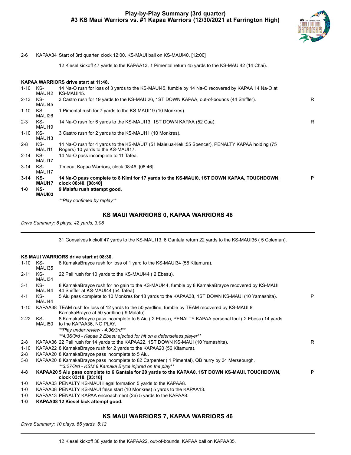#### **Play-by-Play Summary (3rd quarter) #3 KS Maui Warriors vs. #1 Kapaa Warriors (12/30/2021 at Farrington High)**



2-6 KAPAA34 Start of 3rd quarter, clock 12:00, KS-MAUI ball on KS-MAUI40. [12:00]

12 Kiesel kickoff 47 yards to the KAPAA13, 1 Pimental return 45 yards to the KS-MAUI42 (14 Chai).

#### **KAPAA WARRIORS drive start at 11:48.**

|               | **Play confimed by replay**                                                                                                            |                                                                                                                                                                         |
|---------------|----------------------------------------------------------------------------------------------------------------------------------------|-------------------------------------------------------------------------------------------------------------------------------------------------------------------------|
| MAUI03        |                                                                                                                                        |                                                                                                                                                                         |
|               |                                                                                                                                        |                                                                                                                                                                         |
| <b>MAUI17</b> | clock 08:40. [08:40]                                                                                                                   | P                                                                                                                                                                       |
| MAUI17        |                                                                                                                                        |                                                                                                                                                                         |
| MAUI17        |                                                                                                                                        |                                                                                                                                                                         |
| KS-           | 14 Na-O pass incomplete to 11 Tafea.                                                                                                   |                                                                                                                                                                         |
| KS-<br>MAUI11 | 14 Na-O rush for 4 yards to the KS-MAUI7 (51 Maielua-Keki;55 Spencer), PENALTY KAPAA holding (75<br>Rogers) 10 yards to the KS-MAUI17. |                                                                                                                                                                         |
| KS-<br>MAUI13 | 3 Castro rush for 2 yards to the KS-MAUI11 (10 Monkres).                                                                               |                                                                                                                                                                         |
| KS-<br>MAUI19 | 14 Na-O rush for 6 yards to the KS-MAUI13, 1ST DOWN KAPAA (52 Cua).                                                                    | R.                                                                                                                                                                      |
| KS-<br>MAUI26 | 1 Pimental rush for 7 yards to the KS-MAUI19 (10 Monkres).                                                                             |                                                                                                                                                                         |
| KS-<br>MAUI45 | 3 Castro rush for 19 yards to the KS-MAUI26, 1ST DOWN KAPAA, out-of-bounds (44 Shiffler).                                              | R.                                                                                                                                                                      |
| KS-<br>MAUI42 | 14 Na-O rush for loss of 3 yards to the KS-MAUI45, fumble by 14 Na-O recovered by KAPAA 14 Na-O at<br>KS-MAUI45.                       |                                                                                                                                                                         |
|               | KS-<br>KS-<br>KS-                                                                                                                      | Timeout Kapaa Warriors, clock 08:46. [08:46]<br>14 Na-O pass complete to 8 Kimi for 17 yards to the KS-MAUI0, 1ST DOWN KAPAA, TOUCHDOWN,<br>9 Malafu rush attempt good. |

#### **KS MAUI WARRIORS 0, KAPAA WARRIORS 46**

*Drive Summary: 8 plays, 42 yards, 3:08*

31 Gonsalves kickoff 47 yards to the KS-MAUI13, 6 Gantala return 22 yards to the KS-MAUI35 ( 5 Coleman).

#### **KS MAUI WARRIORS drive start at 08:30.**

| $1 - 10$     | KS-<br>MAUI35 | 8 KamakaBrayce rush for loss of 1 yard to the KS-MAUI34 (56 Kitamura).                                                                      |    |
|--------------|---------------|---------------------------------------------------------------------------------------------------------------------------------------------|----|
| $2 - 11$     | KS-<br>MAUI34 | 22 Pali rush for 10 yards to the KS-MAUI44 (2 Ebesu).                                                                                       |    |
| $3 - 1$      | KS-<br>MAUI44 | 8 KamakaBrayce rush for no gain to the KS-MAUI44, fumble by 8 KamakaBrayce recovered by KS-MAUI<br>44 Shiffler at KS-MAUI44 (54 Tafea).     |    |
| $4 - 1$      | KS-<br>MAUI44 | 5 Aiu pass complete to 10 Monkres for 18 yards to the KAPAA38, 1ST DOWN KS-MAUI (10 Yamashita).                                             | P  |
| $1 - 10$     |               | KAPAA38 TEAM rush for loss of 12 yards to the 50 yardline, fumble by TEAM recovered by KS-MAUI 8<br>KamakaBrayce at 50 yardline (9 Malafu). |    |
| $2 - 22$     | KS-<br>MAUI50 | 8 KamakaBrayce pass incomplete to 5 Aiu (2 Ebesu), PENALTY KAPAA personal foul (2 Ebesu) 14 yards<br>to the KAPAA36, NO PLAY.               |    |
|              |               | **Play under review - 4:36/3rd**                                                                                                            |    |
|              |               | **4:36/3rd - Kapaa 2 Ebesu ejected for hit on a defenseless player**                                                                        |    |
| $2 - 8$      |               | KAPAA36 22 Pali rush for 14 yards to the KAPAA22, 1ST DOWN KS-MAUI (10 Yamashita).                                                          | R. |
| $1 - 10$     |               | KAPAA22 8 KamakaBrayce rush for 2 yards to the KAPAA20 (56 Kitamura).                                                                       |    |
| $2 - 8$      |               | KAPAA20 8 KamakaBrayce pass incomplete to 5 Aiu.                                                                                            |    |
| $3-8$        |               | KAPAA20 8 KamakaBrayce pass incomplete to 82 Carpenter (1 Pimental), QB hurry by 34 Merseburgh.                                             |    |
|              |               | **3:27/3rd - KSM 8 Kamaka Bryce injured on the play**                                                                                       |    |
| 4-8          |               | KAPAA20 5 Aiu pass complete to 6 Gantala for 20 yards to the KAPAA0, 1ST DOWN KS-MAUI, TOUCHDOWN,<br>clock 03:18. [03:18]                   | P  |
| $1-0$        |               | KAPAA03 PENALTY KS-MAUI illegal formation 5 yards to the KAPAA8.                                                                            |    |
| $1-0$        |               | KAPAA08 PENALTY KS-MAUI false start (10 Monkres) 5 yards to the KAPAA13.                                                                    |    |
| $1-0$        |               | KAPAA13 PENALTY KAPAA encroachment (26) 5 yards to the KAPAA8.                                                                              |    |
| $1 - \Omega$ |               | KADAA08.12 Kinsal kick attamnt good                                                                                                         |    |

**1-0 KAPAA08 12 Kiesel kick attempt good.**

#### **KS MAUI WARRIORS 7, KAPAA WARRIORS 46**

*Drive Summary: 10 plays, 65 yards, 5:12*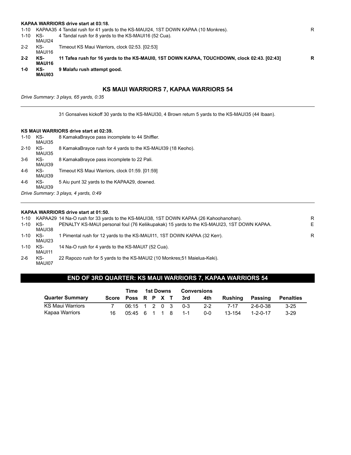|          |               | KAPAA WARRIORS drive start at 03:18.                                                        |   |
|----------|---------------|---------------------------------------------------------------------------------------------|---|
| 1-10     |               | KAPAA35 4 Tandal rush for 41 yards to the KS-MAUI24, 1ST DOWN KAPAA (10 Monkres).           | R |
| 1-10 KS- | MAUI24        | 4 Tandal rush for 8 yards to the KS-MAUI16 (52 Cua).                                        |   |
| $2 - 2$  | KS-<br>MAUI16 | Timeout KS Maui Warriors, clock 02:53. [02:53]                                              |   |
| $2 - 2$  | KS-<br>MAUI16 | 11 Tafea rush for 16 yards to the KS-MAUI0, 1ST DOWN KAPAA, TOUCHDOWN, clock 02:43. [02:43] | R |
| $1 - 0$  | KS-<br>MAUI03 | 9 Malafu rush attempt good.                                                                 |   |
|          |               |                                                                                             |   |

### **KS MAUI WARRIORS 7, KAPAA WARRIORS 54**

*Drive Summary: 3 plays, 65 yards, 0:35*

31 Gonsalves kickoff 30 yards to the KS-MAUI30, 4 Brown return 5 yards to the KS-MAUI35 (44 Ibaan).

#### **KS MAUI WARRIORS drive start at 02:39.**

| $1 - 10$ | KS-<br>MAUI35 | 8 KamakaBrayce pass incomplete to 44 Shiffler.               |
|----------|---------------|--------------------------------------------------------------|
| $2 - 10$ | KS-<br>MAUI35 | 8 KamakaBrayce rush for 4 yards to the KS-MAU139 (18 Keoho). |
| 3-6      | KS-<br>MAUI39 | 8 KamakaBrayce pass incomplete to 22 Pali.                   |
| 4-6      | KS-<br>MAUI39 | Timeout KS Maui Warriors, clock 01:59. [01:59]               |
| 4-6      | KS-<br>MAUI39 | 5 Aiu punt 32 yards to the KAPAA29, downed.                  |
|          |               | Drive Summary: 3 plays, 4 yards, 0:49                        |

#### **KAPAA WARRIORS drive start at 01:50.**

|          |               | 1-10 KAPAA29 14 Na-O rush for 33 yards to the KS-MAUI38, 1ST DOWN KAPAA (26 Kahoohanohan). | R  |
|----------|---------------|--------------------------------------------------------------------------------------------|----|
| 1-10 KS- | MAUI38        | PENALTY KS-MAUI personal foul (76 Keliikupakak) 15 yards to the KS-MAUI23, 1ST DOWN KAPAA. | E. |
| 1-10 KS- | MAUI23        | 1 Pimental rush for 12 yards to the KS-MAUI11, 1ST DOWN KAPAA (32 Kerr).                   | R  |
| 1-10 KS- | MAUI11        | 14 Na-O rush for 4 yards to the KS-MAUI7 (52 Cua).                                         |    |
| $2-6$    | KS-<br>MAUI07 | 22 Rapozo rush for 5 yards to the KS-MAUI2 (10 Monkres: 51 Maielua-Keki).                  |    |

### **END OF 3RD QUARTER: KS MAUI WARRIORS 7, KAPAA WARRIORS 54**

|                        |                    |                       | Time 1st Downs |  | <b>Conversions</b> |         |         |         |          |                  |
|------------------------|--------------------|-----------------------|----------------|--|--------------------|---------|---------|---------|----------|------------------|
| <b>Quarter Summary</b> | Score Poss R P X T |                       |                |  |                    | 3rd     | 4th     | Rushina | Passing  | <b>Penalties</b> |
| KS Maui Warriors       |                    | 06:15 1 2 0 3         |                |  |                    | $0 - 3$ | $2 - 2$ | 7-17    | 2-6-0-38 | $3 - 25$         |
| Kapaa Warriors         | 16.                | $0.5:45$ 6 1 1 8 1 -1 |                |  |                    |         | ი-ი     | 13-154  | 1-2-0-17 | $3-29$           |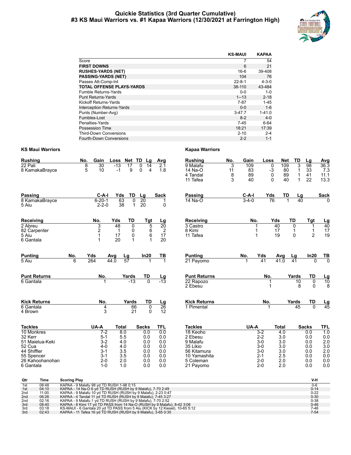#### **Quickie Statistics (3rd Quarter Cumulative) #3 KS Maui Warriors vs. #1 Kapaa Warriors (12/30/2021 at Farrington High)**



|                                  | <b>KS-MAUI</b> | <b>KAPAA</b> |
|----------------------------------|----------------|--------------|
| Score                            |                | 54           |
| <b>FIRST DOWNS</b>               | 6              | 21           |
| <b>RUSHES-YARDS (NET)</b>        | $16 - 6$       | 39-408       |
| <b>PASSING-YARDS (NET)</b>       | 104            | 76           |
| Passes Att-Comp-Int              | $22 - 8 - 1$   | $4 - 3 - 0$  |
| <b>TOTAL OFFENSE PLAYS-YARDS</b> | 38-110         | 43-484       |
| Fumble Returns-Yards             | $0 - 0$        | $1 - 0$      |
| <b>Punt Returns-Yards</b>        | $1 - 13$       | $2 - 18$     |
| Kickoff Returns-Yards            | $7 - 87$       | $1-45$       |
| Interception Returns-Yards       | $0 - 0$        | $1 - 6$      |
| Punts (Number-Avg)               | $3-47.7$       | $1 - 41.0$   |
| Fumbles-Lost                     | $8-2$          | $4 - 0$      |
| Penalties-Yards                  | $7 - 45$       | $6 - 64$     |
| Possession Time                  | 18:21          | 17:39        |
| <b>Third-Down Conversions</b>    | $2 - 10$       | $2 - 4$      |
| <b>Fourth-Down Conversions</b>   | $2 - 2$        | $1 - 1$      |

| <b>Rushing</b><br>22 Pali<br>8 KamakaBrayce                                                                                       | No.<br>8<br>5       | Gain<br>30<br>10                                                                           | Loss Net TD Lg<br>$-13$<br>$-1$                                      | 17<br>9                                        | 0<br>14<br>$\Omega$<br>4                                             | Avg<br>2.1<br>1.8                                           | <b>Rushing</b><br>9 Malafu<br>14 Na-O<br>4 Tandal<br>11 Tafea                                                          | No.<br>3<br>11<br>8<br>3 | Gain<br>109<br>83<br>89<br>40 | Loss<br>0<br>$-3$<br>0<br>$\Omega$                                           | Net<br>109<br>80<br>89<br>40                                                      | TD<br>3<br>$\mathbf{1}$<br>$\mathbf{1}$<br>1 | Lq<br>98<br>33<br>41<br>22                                           | <b>Avg</b><br>36.3<br>7.3<br>11.1<br>13.3                          |
|-----------------------------------------------------------------------------------------------------------------------------------|---------------------|--------------------------------------------------------------------------------------------|----------------------------------------------------------------------|------------------------------------------------|----------------------------------------------------------------------|-------------------------------------------------------------|------------------------------------------------------------------------------------------------------------------------|--------------------------|-------------------------------|------------------------------------------------------------------------------|-----------------------------------------------------------------------------------|----------------------------------------------|----------------------------------------------------------------------|--------------------------------------------------------------------|
| <b>Passing</b><br>8 KamakaBrayce<br>5 Aiu                                                                                         |                     | $C-A-I$<br>$6 - 20 - 1$<br>$2 - 2 - 0$                                                     | Yds<br>63<br>38                                                      | TD<br>0<br>1                                   | Lg<br>$\overline{20}$<br>20                                          | <b>Sack</b><br>1<br>0                                       | Passing<br>$14$ Na-O                                                                                                   |                          | C-A-I<br>$3 - 4 - 0$          | Yds<br>76                                                                    | TD                                                                                | Lg<br>$40^{-}$<br>$\mathbf 1$                |                                                                      | <b>Sack</b>                                                        |
| Receiving<br>2 Abreu<br>82 Carpenter<br>5 Aiu<br>6 Gantala                                                                        |                     | No.<br>3<br>2<br>1<br>1                                                                    | Yds<br>48<br>$\mathbf{1}$<br>17<br>20                                | TD<br>$\overline{0}$<br>0<br>0<br>$\mathbf{1}$ | Tgt<br>5<br>6<br>6                                                   | Lg<br>20<br>$\overline{2}$<br>17<br>20                      | Receiving<br>3 Castro<br>8 Kimi<br>11 Tafea                                                                            |                          | No.<br>1                      |                                                                              | Yds<br>40<br>17<br>19                                                             | TD<br>$\overline{0}$<br>1<br>0               | Tgt<br>1<br>$\mathbf 1$<br>$\overline{2}$                            | $\frac{Lg}{40}$<br>17<br>19                                        |
| <b>Punting</b><br>5 Aiu                                                                                                           | No.<br>6            | Yds<br>264                                                                                 | <b>Avg</b><br>44.0                                                   | <u>Lg</u><br>$\overline{57}$                   | In20                                                                 | TВ<br>1                                                     | <b>Punting</b><br>21 Payomo                                                                                            |                          | No.                           | Yds<br>41                                                                    | <u>Avg</u><br>41.0                                                                | Lg<br>$\overline{41}$                        | In20<br>$\Omega$                                                     | $\frac{TB}{0}$                                                     |
| <b>Punt Returns</b><br>6 Gantala                                                                                                  |                     | No.                                                                                        |                                                                      | Yards<br>$-13$                                 | TD<br>$\overline{0}$                                                 | $\frac{\text{Lg}}{-13}$                                     | <b>Punt Returns</b><br>22 Rapozo<br>2 Ebesu                                                                            |                          |                               | No.<br>1<br>1                                                                |                                                                                   | Yards<br>$\overline{10}$<br>8                | TD<br>$\mathbf 0$<br>$\mathbf{0}$                                    | $\frac{Lg}{10}$<br>8                                               |
| <b>Kick Returns</b><br>6 Gantala<br>4 Brown                                                                                       |                     | No.<br>4<br>3                                                                              |                                                                      | Yards<br>66<br>21                              | TD<br>0<br>$\Omega$                                                  | Lg<br>26<br>12                                              | <b>Kick Returns</b><br>1 Pimental                                                                                      |                          |                               | No.<br>$\mathbf 1$                                                           |                                                                                   | Yards<br>45                                  | TD<br>$\overline{0}$                                                 | $\frac{\text{Lg}}{45}$                                             |
| <b>Tackles</b><br>10 Monkres<br>32 Kerr<br>51 Maielua-Keki<br>52 Cua<br>44 Shiffler<br>55 Spencer<br>26 Kahoohanohan<br>6 Gantala |                     | UA-A<br>$7-2$<br>$5 - 1$<br>$3 - 2$<br>$4 - 0$<br>$3 - 1$<br>$3 - 1$<br>$2 - 0$<br>$1 - 0$ | <b>Total</b><br>8.0<br>5.5<br>4.0<br>4.0<br>3.5<br>3.5<br>2.0<br>1.0 |                                                | <b>Sacks</b><br>0.0<br>0.0<br>0.0<br>0.0<br>0.0<br>0.0<br>0.0<br>0.0 | TFL<br>0.0<br>0.0<br>0.0<br>0.0<br>0.0<br>0.0<br>0.0<br>0.0 | <b>Tackles</b><br>18 Keoho<br>2 Ebesu<br>9 Malafu<br>35 Likio<br>56 Kitamura<br>10 Yamashita<br>5 Coleman<br>21 Payomo |                          | UA-A                          | $3-2$<br>$2 - 2$<br>$3-0$<br>$3-0$<br>$3-0$<br>$2 - 1$<br>$2 - 0$<br>$2 - 0$ | <b>Total</b><br>$\overline{4.0}$<br>3.0<br>3.0<br>3.0<br>3.0<br>2.5<br>2.0<br>2.0 |                                              | <b>Sacks</b><br>0.0<br>0.0<br>0.0<br>0.0<br>0.0<br>0.0<br>0.0<br>0.0 | <b>TFL</b><br>1.0<br>0.0<br>2.0<br>3.0<br>2.0<br>0.0<br>0.0<br>0.0 |
| Otr<br><b>Time</b>                                                                                                                | <b>Scoring Play</b> |                                                                                            |                                                                      |                                                |                                                                      |                                                             |                                                                                                                        |                          |                               |                                                                              |                                                                                   |                                              | V-H                                                                  |                                                                    |

| Qtr | Time  | <b>Scoring Play</b>                                                          | V-H      |
|-----|-------|------------------------------------------------------------------------------|----------|
| 1st | 08:48 | KAPAA - 9 Malafu 98 vd TD RUSH 1-98 0:15                                     | 0-6      |
| 1st | 04:10 | KAPAA - 14 Na-O 6 yd TD RUSH (RUSH by 9 Malafu), 7-70 2:49                   | $0 - 14$ |
| 2nd | 11:00 | KAPAA - 9 Malafu 10 yd TD RUSH (RUSH by 9 Malafu), 2-23 0:47                 | $0 - 22$ |
| 2nd | 06:26 | KAPAA - 4 Tandal 11 yd TD RUSH (RUSH by 9 Malafu), 7-45 3:27                 | $0 - 30$ |
| 2nd | 02:16 | KAPAA - 9 Malafu 1 yd TD RUSH (RUSH by 9 Malafu), 7-70 2:52                  | $0 - 38$ |
| 3rd | 08:40 | KAPAA - 8 Kimi 17 yd TD PASS from 14 Na-O (RUSH by 9 Malafu), 8-42 3:08      | $0 - 46$ |
| 3rd | 03:18 | KS-MAUI - 6 Gantala 20 yd TD PASS from 5 Aiu (KICK by 12 Kiesel), 10-65 5:12 | 7-46     |
| 3rd | 02:43 | KAPAA - 11 Tafea 16 yd TD RUSH (RUSH by 9 Malafu), 3-65 0:35                 | $7-54$   |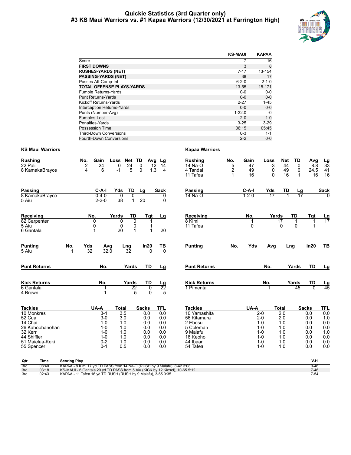#### **Quickie Statistics (3rd Quarter only) #3 KS Maui Warriors vs. #1 Kapaa Warriors (12/30/2021 at Farrington High)**



|                                   | <b>KS-MAUI</b> | <b>KAPAA</b> |
|-----------------------------------|----------------|--------------|
| Score                             |                | 16           |
| <b>FIRST DOWNS</b>                | 3              | 8            |
| <b>RUSHES-YARDS (NET)</b>         | $7 - 17$       | 13-154       |
| <b>PASSING-YARDS (NET)</b>        | 38             | 17           |
| Passes Att-Comp-Int               | $6 - 2 - 0$    | $2 - 1 - 0$  |
| <b>TOTAL OFFENSE PLAYS-YARDS</b>  | 13-55          | 15-171       |
| Fumble Returns-Yards              | $0 - 0$        | $0 - 0$      |
| <b>Punt Returns-Yards</b>         | $0 - 0$        | $0 - 0$      |
| Kickoff Returns-Yards             | $2 - 27$       | $1 - 45$     |
| <b>Interception Returns-Yards</b> | $0 - 0$        | $0 - 0$      |
| Punts (Number-Avg)                | $1 - 32.0$     | -0           |
| Fumbles-Lost                      | $2 - 0$        | $1 - 0$      |
| Penalties-Yards                   | $3 - 25$       | $3-29$       |
| Possession Time                   | 06:15          | 05:45        |
| <b>Third-Down Conversions</b>     | $0 - 3$        | $1 - 1$      |
| <b>Fourth-Down Conversions</b>    | $2 - 2$        | $0 - 0$      |

| <b>Rushing</b>                 | No.                 | Gain                       | Net TD<br>Loss                           | Avg                      | Lg                   | <b>Rushing</b>              | No.                 | Gain        | Loss               | <b>Net</b>              | TD                     | Avg            |                        |
|--------------------------------|---------------------|----------------------------|------------------------------------------|--------------------------|----------------------|-----------------------------|---------------------|-------------|--------------------|-------------------------|------------------------|----------------|------------------------|
| 22 Pali<br>8 KamakaBrayce      | $\overline{2}$<br>4 | $\overline{24}$<br>6       | $\overline{24}$<br>$\Omega$<br>5<br>$-1$ | 0<br>1.3<br>$\Omega$     | 12<br>14<br>4        | 14 Na-O<br>4 Tandal         | 5<br>$\overline{2}$ | 47<br>49    | $-3$<br>0          | 44<br>49                | 0<br>0                 | 8.8<br>24.5    | $\frac{Lg}{33}$<br>41  |
|                                |                     |                            |                                          |                          |                      | 11 Tafea                    |                     | 16          | 0                  | 16                      | 1                      | 16             | 16                     |
| <b>Passing</b>                 |                     | $C-A-I$                    | TD<br>Yds                                | Lg                       | <b>Sack</b>          | Passing                     |                     | $C-A-I$     | Yds                | TD                      | $\frac{\text{Lg}}{17}$ |                | <b>Sack</b>            |
| 8 KamakaBrayce<br>5 Aiu        |                     | $0 - 4 - 0$<br>$2 - 2 - 0$ | $\Omega$<br>0<br>38                      | 20<br>$\mathbf{1}$       | 0<br>0               | 14 Na-O                     |                     | $1 - 2 - 0$ | $\overline{17}$    |                         |                        |                |                        |
| Receiving                      |                     | No.                        | Yards<br>TD                              | Tgt                      | Lg                   | Receiving                   |                     | No.         | Yards              |                         | TD                     | Tgt            | <u>Lg</u><br>17        |
| 82 Carpenter<br>5 Aiu          |                     | 0<br>0                     | 0<br>0                                   | 0<br>0                   |                      | 8 Kimi<br>11 Tafea          |                     | 1<br>0      |                    | $\overline{17}$<br>0    | 1<br>0                 |                |                        |
| 6 Gantala                      |                     |                            | 20                                       | 1<br>1                   | 20                   |                             |                     |             |                    |                         |                        |                |                        |
| <b>Punting</b>                 | No.                 | Yds<br>Avg                 | Lng                                      | In20                     | TВ                   | <b>Punting</b>              | No.                 | Yds         | Avg                | Lng                     |                        | In20           | TB                     |
| 5 Aiu                          |                     | $\overline{32}$<br>32.0    | 32                                       | $\Omega$                 | 70                   |                             |                     |             |                    |                         |                        |                |                        |
| <b>Punt Returns</b>            |                     | No.                        | Yards                                    | <b>TD</b>                | Lg                   | <b>Punt Returns</b>         |                     |             | No.                |                         | Yards                  | <b>TD</b>      | <u>Lg</u>              |
| <b>Kick Returns</b>            |                     | No.                        | Yards                                    | TD                       |                      | <b>Kick Returns</b>         |                     |             | No.                |                         | Yards                  | TD             | $\frac{\text{Lg}}{45}$ |
| 6 Gantala<br>4 Brown           |                     | 1<br>1                     |                                          | 22<br>0<br>5<br>$\Omega$ | $\frac{Lg}{22}$<br>5 | 1 Pimental                  |                     |             | 1                  |                         | 45                     | $\overline{0}$ |                        |
| <b>Tackles</b>                 |                     | UA-A                       | Total                                    | <b>Sacks</b>             | <b>TFL</b>           | <b>Tackles</b>              |                     | UA-A        |                    | <b>Total</b>            |                        | <b>Sacks</b>   | TFL                    |
| 10 Monkres<br>52 Cua           |                     | $3 - 1$<br>$3-0$           | $\overline{3.5}$<br>3.0                  | 0.0<br>0.0               | 0.0<br>0.0           | 10 Yamashita<br>56 Kitamura |                     |             | $2-0$<br>$2 - 0$   | $\overline{2.0}$<br>2.0 |                        | 0.0<br>0.0     | 0.0<br>1.0             |
| 14 Chai                        |                     | $1 - 0$                    | 1.0                                      | 0.0                      | 0.0                  | 2 Ebesu                     |                     |             | $1 - 0$            | 1.0                     |                        | 0.0            | 0.0                    |
| 26 Kahoohanohan                |                     | $1 - 0$                    | 1.0                                      | 0.0                      | 0.0                  | 5 Coleman                   |                     |             | $1 - 0$            | 1.0                     |                        | 0.0            | 0.0                    |
| 32 Kerr                        |                     | $1 - 0$                    | 1.0                                      | 0.0                      | 0.0                  | 9 Malafu                    |                     |             | $1 - 0$            | 1.0                     |                        | 0.0            | 1.0                    |
| 44 Shiffler<br>51 Maielua-Keki |                     | $1 - 0$<br>$0 - 2$         | 1.0<br>1.0                               | 0.0<br>0.0               | 0.0<br>0.0           | 18 Keoho<br>44 Ibaan        |                     |             | $1 - 0$<br>$1 - 0$ | 1.0<br>1.0              |                        | 0.0<br>0.0     | 0.0<br>0.0             |
| 55 Spencer                     |                     | $0 - 1$                    | 0.5                                      | 0.0                      | 0.0                  | 54 Tafea                    |                     |             | $1 - 0$            | 1.0                     |                        | 0.0            | 0.0                    |
| ∩÷r<br><b>Time</b>             | Scoring Play        |                            |                                          |                          |                      |                             |                     |             |                    |                         |                        | $V_H$          |                        |

| Qtr | Time  | <b>Scoring Play</b>                                                          | V-H      |
|-----|-------|------------------------------------------------------------------------------|----------|
| 3rd | 08:40 | KAPAA - 8 Kimi 17 vd TD PASS from 14 Na-O (RUSH by 9 Malafu), 8-42 3:08      | 0-46     |
| 3rd | 03:18 | KS-MAUI - 6 Gantala 20 yd TD PASS from 5 Aiu (KICK by 12 Kiesel), 10-65 5:12 | $7 - 46$ |
| 3rd | 02:43 | KAPAA - 11 Tafea 16 yd TD RUSH (RUSH by 9 Malafu), 3-65 0:35                 | $7 - 54$ |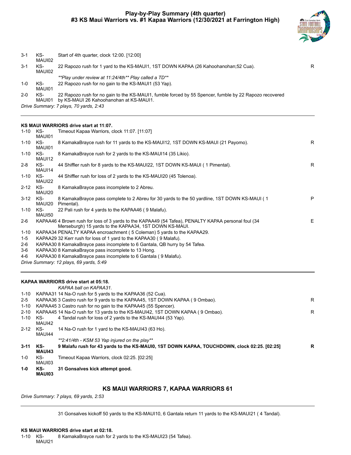

| $3 - 1$ | KS-<br>MAUI02 | Start of 4th quarter, clock 12:00. [12:00]                                                                                                        |   |
|---------|---------------|---------------------------------------------------------------------------------------------------------------------------------------------------|---|
| $3 - 1$ | KS-<br>MAUI02 | 22 Rapozo rush for 1 yard to the KS-MAUI1, 1ST DOWN KAPAA (26 Kahoohanohan: 52 Cua).                                                              | R |
|         |               | **Play under review at 11:24/4th** Play called a TD**                                                                                             |   |
| $1 - 0$ | KS-<br>MAUI01 | 22 Rapozo rush for no gain to the KS-MAUI1 (53 Yap).                                                                                              |   |
| $2 - 0$ | KS-<br>MAUI01 | 22 Rapozo rush for no gain to the KS-MAUI1, fumble forced by 55 Spencer, fumble by 22 Rapozo recovered<br>by KS-MAUI 26 Kahoohanohan at KS-MAUI1. |   |
|         |               |                                                                                                                                                   |   |

*Drive Summary: 7 plays, 70 yards, 2:43*

#### **KS MAUI WARRIORS drive start at 11:07.**

| 1-10 KS- | MAUI01        | Timeout Kapaa Warriors, clock 11:07. [11:07]                                                                                                                  |    |
|----------|---------------|---------------------------------------------------------------------------------------------------------------------------------------------------------------|----|
| $1 - 10$ | KS-<br>MAUI01 | 8 KamakaBrayce rush for 11 yards to the KS-MAUI12, 1ST DOWN KS-MAUI (21 Payomo).                                                                              | R. |
| $1 - 10$ | KS-<br>MAUI12 | 8 KamakaBrayce rush for 2 yards to the KS-MAUI14 (35 Likio).                                                                                                  |    |
| $2 - 8$  | KS-<br>MAUI14 | 44 Shiffler rush for 8 yards to the KS-MAUI22, 1ST DOWN KS-MAUI (1 Pimental).                                                                                 | R. |
| 1-10     | KS-<br>MAUI22 | 44 Shiffler rush for loss of 2 yards to the KS-MAUI20 (45 Tolenoa).                                                                                           |    |
| $2 - 12$ | KS-<br>MAUI20 | 8 KamakaBrayce pass incomplete to 2 Abreu.                                                                                                                    |    |
| $3 - 12$ | KS-<br>MAUI20 | 8 KamakaBrayce pass complete to 2 Abreu for 30 yards to the 50 yardline, 1ST DOWN KS-MAUI (1<br>Pimental).                                                    | P  |
| 1-10     | KS-<br>MAUI50 | 22 Pali rush for 4 yards to the KAPAA46 (9 Malafu).                                                                                                           |    |
| $2-6$    |               | KAPAA46 4 Brown rush for loss of 3 yards to the KAPAA49 (54 Tafea), PENALTY KAPAA personal foul (34<br>Merseburgh) 15 yards to the KAPAA34, 1ST DOWN KS-MAUI. | E. |
| 1-10     |               | KAPAA34 PENALTY KAPAA encroachment (5 Coleman) 5 yards to the KAPAA29.                                                                                        |    |
| $1 - 5$  |               | KAPAA29 32 Kerr rush for loss of 1 yard to the KAPAA30 (9 Malafu).                                                                                            |    |
| 2-6      |               | KAPAA30 8 KamakaBrayce pass incomplete to 6 Gantala, QB hurry by 54 Tafea.                                                                                    |    |
| 3-6      |               | KAPAA30 8 KamakaBrayce pass incomplete to 13 Hong.                                                                                                            |    |
| 4-6      |               | KAPAA30 8 KamakaBrayce pass incomplete to 6 Gantala (9 Malafu).                                                                                               |    |
|          |               | Drive Summary: 12 plays, 69 yards, 5:49                                                                                                                       |    |
|          |               |                                                                                                                                                               |    |

|          |                      | KAPAA WARRIORS drive start at 05:18.                                                        |   |
|----------|----------------------|---------------------------------------------------------------------------------------------|---|
|          |                      | KAPAA ball on KAPAA31.                                                                      |   |
| 1-10     |                      | KAPAA31 14 Na-O rush for 5 yards to the KAPAA36 (52 Cua).                                   |   |
| $2 - 5$  |                      | KAPAA36 3 Castro rush for 9 yards to the KAPAA45, 1ST DOWN KAPAA (9 Ombao).                 | R |
| 1-10     |                      | KAPAA45 3 Castro rush for no gain to the KAPAA45 (55 Spencer).                              |   |
| $2 - 10$ |                      | KAPAA45 14 Na-O rush for 13 yards to the KS-MAUI42, 1ST DOWN KAPAA (9 Ombao).               | R |
| $1 - 10$ | KS-<br>MAUI42        | 4 Tandal rush for loss of 2 yards to the KS-MAU144 (53 Yap).                                |   |
| $2 - 12$ | KS-<br>MAUI44        | 14 Na-O rush for 1 yard to the KS-MAUI43 (63 Ho).                                           |   |
|          |                      | **2:41/4th - KSM 53 Yap injured on the play**                                               |   |
| $3 - 11$ | KS-<br><b>MAUI43</b> | 9 Malafu rush for 43 yards to the KS-MAUI0, 1ST DOWN KAPAA, TOUCHDOWN, clock 02:25. [02:25] | R |
| $1 - 0$  | KS-<br>MAUI03        | Timeout Kapaa Warriors, clock 02:25. [02:25]                                                |   |
| 1-0      | KS-<br>MAUI03        | 31 Gonsalves kick attempt good.                                                             |   |

#### **KS MAUI WARRIORS 7, KAPAA WARRIORS 61**

*Drive Summary: 7 plays, 69 yards, 2:53*

31 Gonsalves kickoff 50 yards to the KS-MAUI10, 6 Gantala return 11 yards to the KS-MAUI21 ( 4 Tandal).

#### **KS MAUI WARRIORS drive start at 02:18.**

1-10 KS-MAUI21 8 KamakaBrayce rush for 2 yards to the KS-MAUI23 (54 Tafea).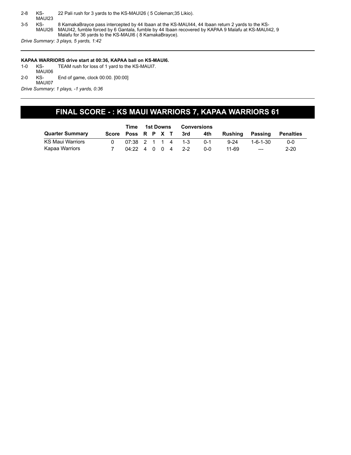2-8 KS-MAUI23 22 Pali rush for 3 yards to the KS-MAUI26 ( 5 Coleman;35 Likio). 3-5 KS-MAUI26 8 KamakaBrayce pass intercepted by 44 Ibaan at the KS-MAUI44, 44 Ibaan return 2 yards to the KS-MAUI42, fumble forced by 6 Gantala, fumble by 44 Ibaan recovered by KAPAA 9 Malafu at KS-MAUI42, 9 Malafu for 36 yards to the KS-MAUI6 ( 8 KamakaBrayce). *Drive Summary: 3 plays, 5 yards, 1:42*

- **KAPAA WARRIORS drive start at 00:36, KAPAA ball on KS-MAUI6.** 1-0 KS-MAUI06 TEAM rush for loss of 1 yard to the KS-MAUI7.
- 2-0 KS-End of game, clock 00:00. [00:00]

MAUI07 *Drive Summary: 1 plays, -1 yards, 0:36*

## **FINAL SCORE - : KS MAUI WARRIORS 7, KAPAA WARRIORS 61**

|                         | Time  | 1st Downs                                         |  |  |  | <b>Conversions</b> |      |         |          |          |                  |
|-------------------------|-------|---------------------------------------------------|--|--|--|--------------------|------|---------|----------|----------|------------------|
| <b>Quarter Summary</b>  | Score | Poss R P X T                                      |  |  |  |                    | -3rd | 4th     | Rushina  | Passing  | <b>Penalties</b> |
| <b>KS Maul Warriors</b> |       | $07:38$ 2 1 1 4 1-3                               |  |  |  |                    |      | $0 - 1$ | $9 - 24$ | 1-6-1-30 | $0 - 0$          |
| Kapaa Warriors          |       | $04:22 \quad 4 \quad 0 \quad 0 \quad 4 \quad 2-2$ |  |  |  |                    |      | $0 - 0$ | 11-69    | $---$    | $2 - 20$         |